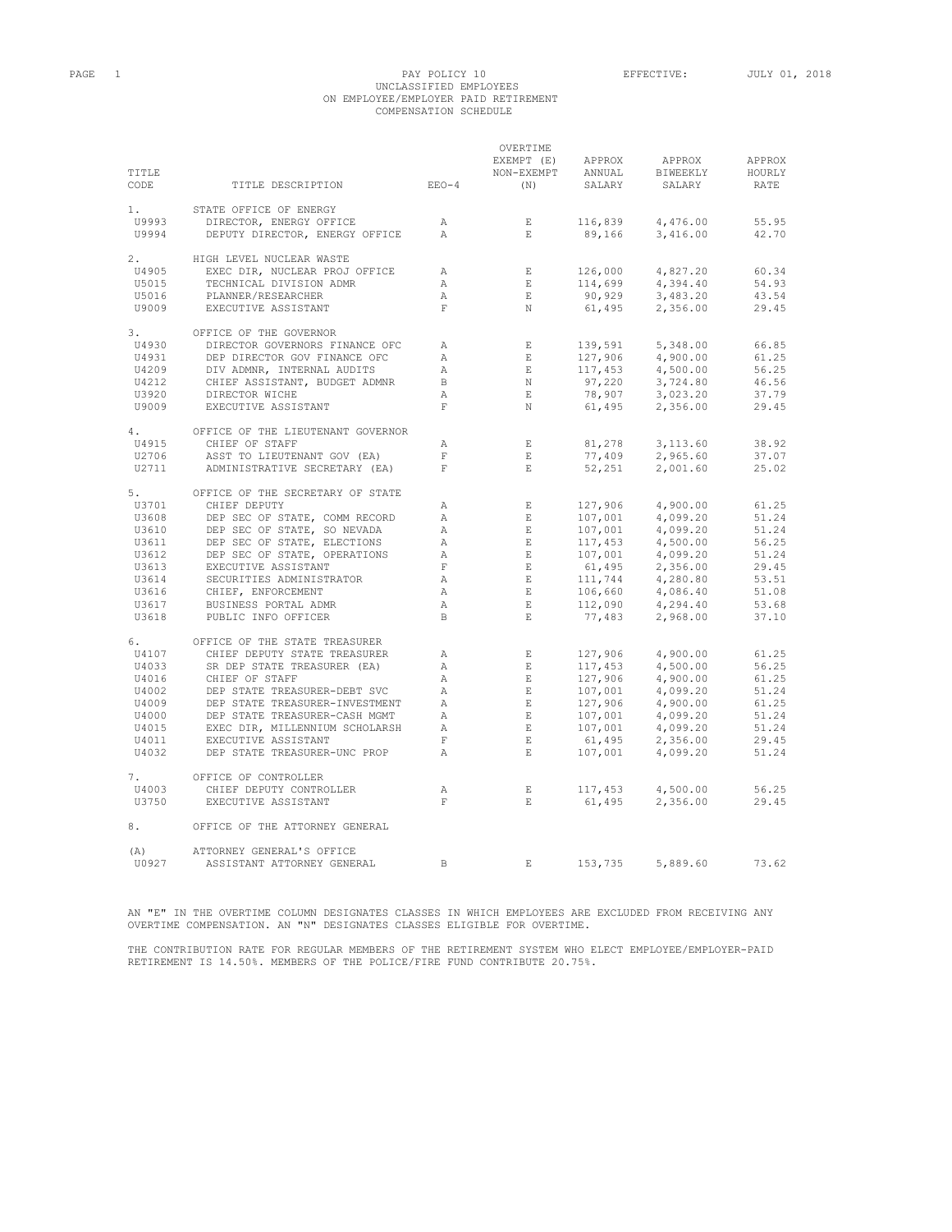#### PAGE 1 PAGE 1 PAY POLICY 10 EFFECTIVE: JULY 01, 2018 UNCLASSIFIED EMPLOYEES ON EMPLOYEE/EMPLOYER PAID RETIREMENT COMPENSATION SCHEDULE

|       |                                   |              | OVERTIME     |                                                                 |          |        |
|-------|-----------------------------------|--------------|--------------|-----------------------------------------------------------------|----------|--------|
|       |                                   |              | EXEMPT (E)   | APPROX                                                          | APPROX   | APPROX |
| TITLE |                                   |              | NON-EXEMPT   | ANNUAL                                                          | BIWEEKLY | HOURLY |
| CODE  | TITLE DESCRIPTION                 | $EEO-4$      | (N)          | SALARY                                                          | SALARY   | RATE   |
|       |                                   |              |              |                                                                 |          |        |
| 1.    | STATE OFFICE OF ENERGY            |              |              |                                                                 |          |        |
|       |                                   |              |              |                                                                 |          |        |
| U9993 | DIRECTOR, ENERGY OFFICE           | $\mathbb{A}$ | $\mathbf{E}$ | 116,839                                                         | 4,476.00 | 55.95  |
| U9994 | DEPUTY DIRECTOR, ENERGY OFFICE    | $\mathbb{A}$ | $\mathbf{E}$ | 89,166                                                          | 3,416.00 | 42.70  |
|       |                                   |              |              |                                                                 |          |        |
| 2.    | HIGH LEVEL NUCLEAR WASTE          |              |              |                                                                 |          |        |
| U4905 | EXEC DIR, NUCLEAR PROJ OFFICE     | А            | E            | 126,000                                                         | 4,827.20 | 60.34  |
| U5015 | TECHNICAL DIVISION ADMR           | $\mathbb{A}$ | E            | 114,699                                                         | 4,394.40 | 54.93  |
| U5016 | PLANNER/RESEARCHER                | $\mathbb{A}$ | $\,$ E       | 90,929                                                          | 3,483.20 | 43.54  |
| U9009 | EXECUTIVE ASSISTANT               | $\mathbf{F}$ | $_{\rm N}$   | 61,495                                                          | 2,356.00 | 29.45  |
|       |                                   |              |              |                                                                 |          |        |
| 3.    | OFFICE OF THE GOVERNOR            |              |              |                                                                 |          |        |
| U4930 | DIRECTOR GOVERNORS FINANCE OFC    | Α            | $\quad$ E    | 139,591                                                         | 5,348.00 | 66.85  |
|       |                                   |              |              |                                                                 |          |        |
| U4931 | DEP DIRECTOR GOV FINANCE OFC      | Α            | E            | 127,906                                                         | 4,900.00 | 61.25  |
| U4209 | DIV ADMNR, INTERNAL AUDITS        | $\mathbb{A}$ | $\quad$ E    | 117,453                                                         | 4,500.00 | 56.25  |
| U4212 | CHIEF ASSISTANT, BUDGET ADMNR     | $\mathbf{B}$ | $\mathbb N$  | 97,220                                                          | 3,724.80 | 46.56  |
| U3920 | DIRECTOR WICHE                    | $\mathbb{A}$ | $\,$ E       | 78,907                                                          | 3,023.20 | 37.79  |
| U9009 | EXECUTIVE ASSISTANT               | $\mathbf F$  | N            | 61,495                                                          | 2,356.00 | 29.45  |
|       |                                   |              |              |                                                                 |          |        |
| 4.    | OFFICE OF THE LIEUTENANT GOVERNOR |              |              |                                                                 |          |        |
| U4915 | CHIEF OF STAFF                    | $\mathbb{A}$ | $\mathbf E$  | 81,278                                                          | 3,113.60 | 38.92  |
| U2706 | ASST TO LIEUTENANT GOV (EA)       | $\mathbf{F}$ | $\mathbf E$  | 77,409                                                          | 2,965.60 | 37.07  |
| U2711 | ADMINISTRATIVE SECRETARY (EA)     | $\mathbf{F}$ | $\,$ E       | 52,251                                                          | 2,001.60 | 25.02  |
|       |                                   |              |              |                                                                 |          |        |
|       | OFFICE OF THE SECRETARY OF STATE  |              |              |                                                                 |          |        |
| 5.    |                                   |              |              |                                                                 |          |        |
| U3701 | CHIEF DEPUTY                      | Α            | E            | 127,906                                                         | 4,900.00 | 61.25  |
| U3608 | DEP SEC OF STATE, COMM RECORD     | $\mathbb{A}$ | $\quad$ E    | 107,001                                                         | 4,099.20 | 51.24  |
| U3610 | DEP SEC OF STATE, SO NEVADA       | Α            | $\quad$ E    | 107,001<br>117,453                                              | 4,099.20 | 51.24  |
| U3611 | DEP SEC OF STATE, ELECTIONS       | $\mathbb{A}$ | E            |                                                                 | 4,500.00 | 56.25  |
| U3612 | DEP SEC OF STATE, OPERATIONS      | $\mathbb{A}$ | E            |                                                                 | 4,099.20 | 51.24  |
| U3613 | EXECUTIVE ASSISTANT               | $\mathbf F$  | $\quad$ E    |                                                                 | 2,356.00 | 29.45  |
| U3614 | SECURITIES ADMINISTRATOR          | $\mathbb{A}$ | $\,$ E       |                                                                 | 4,280.80 | 53.51  |
| U3616 | CHIEF, ENFORCEMENT                | $\mathbb{A}$ | $\mathbf E$  |                                                                 | 4,086.40 | 51.08  |
| U3617 | BUSINESS PORTAL ADMR              | $\mathbb{A}$ | E            | $117,453$<br>107,001<br>61,495<br>111,744<br>106,660<br>112,090 | 4,294.40 | 53.68  |
| U3618 | PUBLIC INFO OFFICER               | B            | $\mathbf{E}$ | 77,483                                                          | 2,968.00 | 37.10  |
|       |                                   |              |              |                                                                 |          |        |
|       |                                   |              |              |                                                                 |          |        |
| 6.    | OFFICE OF THE STATE TREASURER     |              |              |                                                                 |          |        |
| U4107 | CHIEF DEPUTY STATE TREASURER      | $\mathbb{A}$ | E            | 127,906                                                         | 4,900.00 | 61.25  |
| U4033 | SR DEP STATE TREASURER (EA)       | $\mathbb{A}$ | E            | 117,453                                                         | 4,500.00 | 56.25  |
| U4016 | CHIEF OF STAFF                    | $\mathbb{A}$ | E            | 127,906                                                         | 4,900.00 | 61.25  |
| U4002 | DEP STATE TREASURER-DEBT SVC      | $\mathbb{A}$ | $\,$ E       | 107,001                                                         | 4,099.20 | 51.24  |
| U4009 | DEP STATE TREASURER-INVESTMENT    | $\mathbb{A}$ | $\quad$ E    | 127,906                                                         | 4,900.00 | 61.25  |
| U4000 | DEP STATE TREASURER-CASH MGMT     | $\mathbb{A}$ | $\,$ E       | 107,001                                                         | 4,099.20 | 51.24  |
| U4015 | EXEC DIR, MILLENNIUM SCHOLARSH    | $\mathbb A$  | $\quad$ E    | 107,001                                                         | 4,099.20 | 51.24  |
| U4011 | EXECUTIVE ASSISTANT               | $\mathbf F$  | $\,$ E       | 61,495                                                          | 2,356.00 | 29.45  |
| U4032 | DEP STATE TREASURER-UNC PROP      | $\mathbb{A}$ | $E_{\rm c}$  | 107,001                                                         | 4,099.20 | 51.24  |
|       |                                   |              |              |                                                                 |          |        |
| 7.    | OFFICE OF CONTROLLER              |              |              |                                                                 |          |        |
|       |                                   |              |              |                                                                 |          |        |
| U4003 | CHIEF DEPUTY CONTROLLER           | $\mathbb{A}$ | $\mathbf{E}$ | 117,453                                                         | 4,500.00 | 56.25  |
| U3750 | EXECUTIVE ASSISTANT               | $\mathbf{F}$ | $E_{\rm c}$  | 61,495                                                          | 2,356.00 | 29.45  |
|       |                                   |              |              |                                                                 |          |        |
| 8.    | OFFICE OF THE ATTORNEY GENERAL    |              |              |                                                                 |          |        |
|       |                                   |              |              |                                                                 |          |        |
| (A)   | ATTORNEY GENERAL'S OFFICE         |              |              |                                                                 |          |        |
| U0927 | ASSISTANT ATTORNEY GENERAL        | <sub>B</sub> | F.           | 153,735                                                         | 5,889.60 | 73.62  |

AN "E" IN THE OVERTIME COLUMN DESIGNATES CLASSES IN WHICH EMPLOYEES ARE EXCLUDED FROM RECEIVING ANY OVERTIME COMPENSATION. AN "N" DESIGNATES CLASSES ELIGIBLE FOR OVERTIME.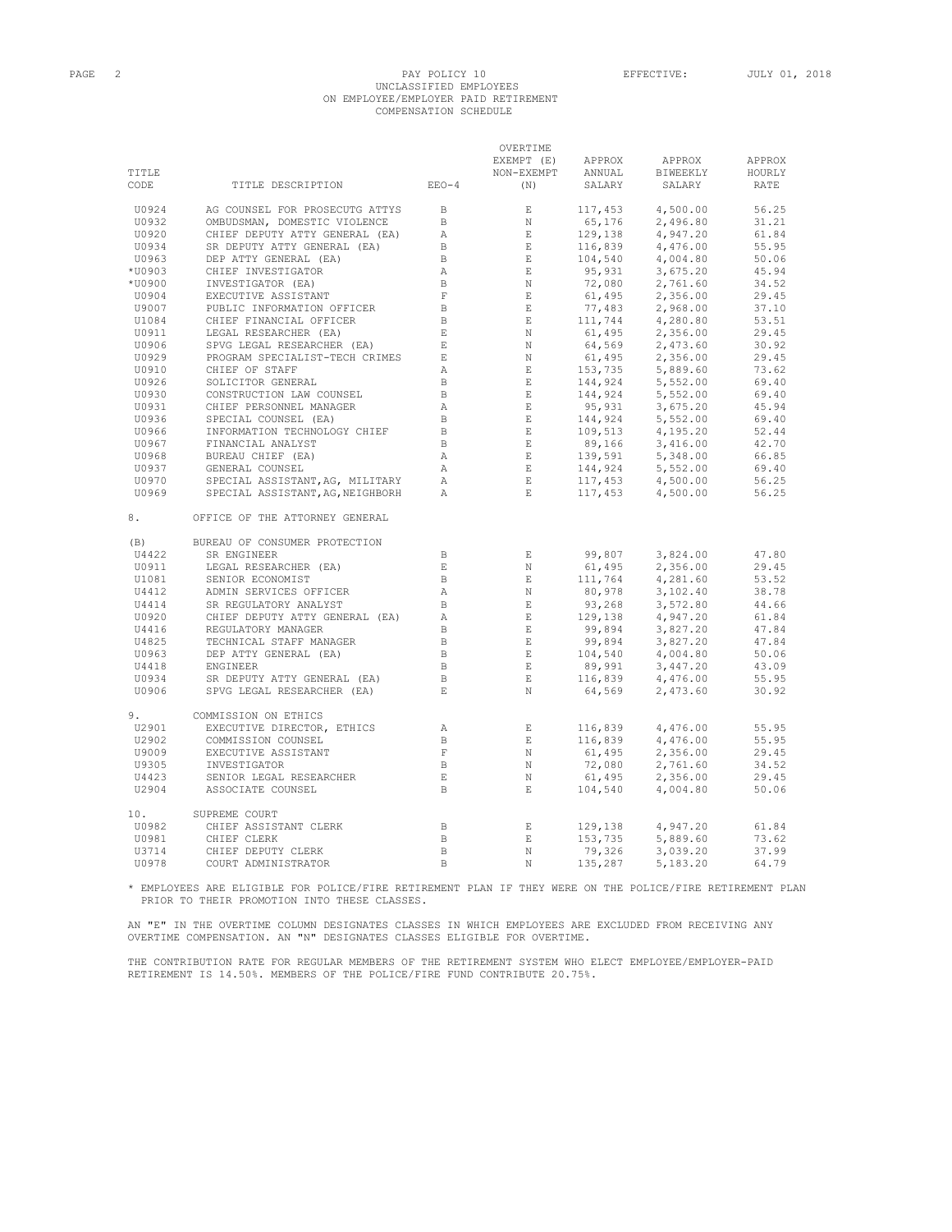# PAGE 2 PAY POLICY 10 EFFECTIVE: JULY 01, 2018 UNCLASSIFIED EMPLOYEES ON EMPLOYEE/EMPLOYER PAID RETIREMENT COMPENSATION SCHEDULE

 $\bigcirc$ 

|        |                                                                                   |                                                         | UVENIITE                                                                                                                                                                                                                                                                                    |                        |                                                                                                                                                                                                                                                                          |        |
|--------|-----------------------------------------------------------------------------------|---------------------------------------------------------|---------------------------------------------------------------------------------------------------------------------------------------------------------------------------------------------------------------------------------------------------------------------------------------------|------------------------|--------------------------------------------------------------------------------------------------------------------------------------------------------------------------------------------------------------------------------------------------------------------------|--------|
|        |                                                                                   |                                                         | EXEMPT (E)                                                                                                                                                                                                                                                                                  | APPROX                 | APPROX                                                                                                                                                                                                                                                                   | APPROX |
| TITLE  |                                                                                   |                                                         | NON-EXEMPT                                                                                                                                                                                                                                                                                  | <b>ANNUAL</b>          | BIWEEKLY                                                                                                                                                                                                                                                                 | HOURLY |
| CODE   | TITLE DESCRIPTION EEO-4                                                           |                                                         | (N)                                                                                                                                                                                                                                                                                         | SALARY                 | SALARY                                                                                                                                                                                                                                                                   | RATE   |
| U0924  | AG COUNSEL FOR PROSECUTG ATTYS                                                    | $\Box$                                                  | E                                                                                                                                                                                                                                                                                           |                        |                                                                                                                                                                                                                                                                          |        |
| U0932  | OMBUDSMAN, DOMESTIC VIOLENCE                                                      | B                                                       | $_{\rm N}$                                                                                                                                                                                                                                                                                  |                        |                                                                                                                                                                                                                                                                          |        |
| U0920  | CHIEF DEPUTY ATTY GENERAL (EA)                                                    |                                                         | $\begin{array}{ccc} \text{A} & & \text{E} \\ \text{B} & & \text{E} \\ \text{B} & & \text{E} \\ \text{B} & & \text{E} \end{array}$                                                                                                                                                           |                        |                                                                                                                                                                                                                                                                          |        |
| U0934  | SR DEPUTY ATTY GENERAL (EA)                                                       |                                                         |                                                                                                                                                                                                                                                                                             |                        |                                                                                                                                                                                                                                                                          |        |
| U0963  | DEP ATTY GENERAL (EA)                                                             |                                                         |                                                                                                                                                                                                                                                                                             |                        |                                                                                                                                                                                                                                                                          |        |
| *U0903 | CHIEF INVESTIGATOR                                                                |                                                         |                                                                                                                                                                                                                                                                                             |                        |                                                                                                                                                                                                                                                                          |        |
| *U0900 | INVESTIGATOR (EA)                                                                 | $\begin{array}{c} \mathbb{A} \\ \mathbb{B} \end{array}$ |                                                                                                                                                                                                                                                                                             |                        |                                                                                                                                                                                                                                                                          |        |
| U0904  | EXECUTIVE ASSISTANT                                                               | $\,$ F                                                  |                                                                                                                                                                                                                                                                                             |                        |                                                                                                                                                                                                                                                                          |        |
| U9007  | PUBLIC INFORMATION OFFICER                                                        | $\overline{B}$                                          |                                                                                                                                                                                                                                                                                             |                        |                                                                                                                                                                                                                                                                          |        |
| U1084  | CHIEF FINANCIAL OFFICER                                                           | $\overline{B}$                                          |                                                                                                                                                                                                                                                                                             |                        |                                                                                                                                                                                                                                                                          |        |
| U0911  | LEGAL RESEARCHER (EA)<br>SPVG LEGAL RESEARCHER (EA)<br>SEALEGAL RESEARCHER (EA)   | $-$ E $\,$                                              |                                                                                                                                                                                                                                                                                             |                        |                                                                                                                                                                                                                                                                          |        |
| U0906  |                                                                                   | $\,$ E                                                  |                                                                                                                                                                                                                                                                                             |                        |                                                                                                                                                                                                                                                                          |        |
| U0929  | PROGRAM SPECIALIST-TECH CRIMES                                                    | E                                                       |                                                                                                                                                                                                                                                                                             |                        |                                                                                                                                                                                                                                                                          |        |
| U0910  | CHIEF OF STAFF                                                                    | $\mathbb{A}$                                            |                                                                                                                                                                                                                                                                                             |                        |                                                                                                                                                                                                                                                                          |        |
| U0926  |                                                                                   | $\mathbf{B}$                                            |                                                                                                                                                                                                                                                                                             |                        |                                                                                                                                                                                                                                                                          |        |
| U0930  | SOLICITOR GENERAL<br>CONSTRUCTION LAW COUNSEL                                     | B                                                       |                                                                                                                                                                                                                                                                                             |                        |                                                                                                                                                                                                                                                                          |        |
| U0931  |                                                                                   | $\mathbb{A}$                                            |                                                                                                                                                                                                                                                                                             |                        |                                                                                                                                                                                                                                                                          |        |
|        | CHIEF PERSONNEL MANAGER                                                           | $\mathbf{B}$                                            |                                                                                                                                                                                                                                                                                             |                        |                                                                                                                                                                                                                                                                          |        |
| U0936  | SPECIAL COUNSEL (EA)<br>INFORMATION TECHNOLOGY CHIEF                              |                                                         |                                                                                                                                                                                                                                                                                             |                        |                                                                                                                                                                                                                                                                          |        |
| U0966  |                                                                                   | $\overline{B}$<br>$\overline{B}$                        |                                                                                                                                                                                                                                                                                             |                        |                                                                                                                                                                                                                                                                          |        |
| U0967  | FINANCIAL ANALYST                                                                 |                                                         |                                                                                                                                                                                                                                                                                             |                        |                                                                                                                                                                                                                                                                          |        |
| U0968  | BUREAU CHIEF (EA)                                                                 | A                                                       | $\begin{array}{c} 0.144 \\ 0.0003 \\ 0.0003 \\ 0.0003 \\ 0.0003 \\ 0.0003 \\ 0.0003 \\ 0.0003 \\ 0.0003 \\ 0.0003 \\ 0.0003 \\ 0.0003 \\ 0.0003 \\ 0.0003 \\ 0.0003 \\ 0.0003 \\ 0.0003 \\ 0.0003 \\ 0.0003 \\ 0.0003 \\ 0.0003 \\ 0.0003 \\ 0.0003 \\ 0.0003 \\ 0.0003 \\ 0.0003 \\ 0.000$ |                        |                                                                                                                                                                                                                                                                          |        |
| U0937  |                                                                                   | A                                                       | $\mathbb E$                                                                                                                                                                                                                                                                                 |                        |                                                                                                                                                                                                                                                                          |        |
| U0970  |                                                                                   |                                                         | $\mathbf{E}$ .                                                                                                                                                                                                                                                                              |                        |                                                                                                                                                                                                                                                                          |        |
| U0969  | SPECIAL ASSISTANT, AG, NEIGHBORH A                                                |                                                         | $\mathbb E$ .                                                                                                                                                                                                                                                                               |                        | SALARY SALARY KATE<br>117,453 4,500.00 56.25<br>65,176 2,496.80 31.21<br>129,138 4,947.20 61.84<br>106,839 4,476.00 55.95<br>104,540 4,004.80 55.06<br>95,931 3,675.20 45.94<br>72,080 2,761.60 34.52<br>61,495 2,356.00 29.45<br>64,569 2,473.6                         |        |
| 8.     | OFFICE OF THE ATTORNEY GENERAL                                                    |                                                         |                                                                                                                                                                                                                                                                                             |                        |                                                                                                                                                                                                                                                                          |        |
| (B)    | BUREAU OF CONSUMER PROTECTION                                                     |                                                         |                                                                                                                                                                                                                                                                                             |                        |                                                                                                                                                                                                                                                                          |        |
| U4422  | SR ENGINEER<br>LEGAL RESEARCHER (EA)                                              | $\mathbf{B}$                                            | E                                                                                                                                                                                                                                                                                           |                        |                                                                                                                                                                                                                                                                          | 47.80  |
| U0911  |                                                                                   | $\mathbf{E}$                                            | N                                                                                                                                                                                                                                                                                           |                        |                                                                                                                                                                                                                                                                          | 29.45  |
| U1081  | SENIOR ECONOMIST                                                                  | $\overline{B}$                                          |                                                                                                                                                                                                                                                                                             |                        |                                                                                                                                                                                                                                                                          | 53.52  |
| U4412  | ADMIN SERVICES OFFICER                                                            | A                                                       |                                                                                                                                                                                                                                                                                             |                        |                                                                                                                                                                                                                                                                          | 38.78  |
| U4414  | ADMIN SERVICES OFFICER<br>SR REGULATORY ANALYST<br>CHIEF DEPUTY ATTY GENERAL (EA) | $\mathbf{B}$                                            |                                                                                                                                                                                                                                                                                             |                        |                                                                                                                                                                                                                                                                          | 44.66  |
| U0920  |                                                                                   | A                                                       |                                                                                                                                                                                                                                                                                             |                        |                                                                                                                                                                                                                                                                          | 61.84  |
| U4416  | REGULATORY MANAGER                                                                | $\, {\bf B}$                                            |                                                                                                                                                                                                                                                                                             |                        |                                                                                                                                                                                                                                                                          | 47.84  |
| U4825  | TECHNICAL STAFF MANAGER<br>DEP ATTY GENERAL (EA)                                  | $\overline{B}$                                          |                                                                                                                                                                                                                                                                                             |                        |                                                                                                                                                                                                                                                                          | 47.84  |
| U0963  |                                                                                   | $\Box$                                                  |                                                                                                                                                                                                                                                                                             |                        |                                                                                                                                                                                                                                                                          | 50.06  |
| U4418  | ENGINEER                                                                          | $\mathbb B$                                             | $\mathbb E$                                                                                                                                                                                                                                                                                 |                        |                                                                                                                                                                                                                                                                          | 43.09  |
| U0934  | SR DEPUTY ATTY GENERAL (EA)                                                       | $\overline{B}$                                          | E                                                                                                                                                                                                                                                                                           |                        |                                                                                                                                                                                                                                                                          | 55.95  |
| U0906  | SPVG LEGAL RESEARCHER (EA)                                                        | $\_$ $\,$ E                                             | $\,$ N                                                                                                                                                                                                                                                                                      |                        | $\begin{array}{llllll} 99, 807 & 3, 824.00 \\ 61, 495 & 2, 356.00 \\ 111, 764 & 4, 281.60 \\ 80, 978 & 3, 102.40 \\ 93, 268 & 3, 572.80 \\ 129, 138 & 4, 947.20 \\ 99, 894 & 3, 827.20 \\ 99, 894 & 3, 827.20 \\ 104, 540 & 4, 004.80 \\ 89, 991 & 3, 447.20 \\ 116, 83$ | 30.92  |
| 9.     | COMMISSION ON ETHICS                                                              |                                                         |                                                                                                                                                                                                                                                                                             |                        |                                                                                                                                                                                                                                                                          |        |
| U2901  | EXECUTIVE DIRECTOR, ETHICS                                                        | $\mathbb{A}$                                            | $$\mathbf{E}$$ $$\mathbf{E}$$                                                                                                                                                                                                                                                               |                        |                                                                                                                                                                                                                                                                          | 55.95  |
| U2902  | COMMISSION COUNSEL                                                                | $\mathbf{B}$                                            |                                                                                                                                                                                                                                                                                             |                        |                                                                                                                                                                                                                                                                          | 55.95  |
| U9009  | EXECUTIVE ASSISTANT                                                               | $-$ F $\,$                                              | $$\rm N$$ $$\rm N$$                                                                                                                                                                                                                                                                         |                        |                                                                                                                                                                                                                                                                          | 29.45  |
| U9305  | INVESTIGATOR                                                                      | $\overline{B}$                                          |                                                                                                                                                                                                                                                                                             |                        | 2,761.60                                                                                                                                                                                                                                                                 | 34.52  |
| U4423  | SENIOR LEGAL RESEARCHER                                                           | $\quad$ E $\quad$                                       | N                                                                                                                                                                                                                                                                                           |                        | 2,356.00                                                                                                                                                                                                                                                                 | 29.45  |
| U2904  | ASSOCIATE COUNSEL                                                                 | $\mathbf{B}$                                            | $\mathbf E$                                                                                                                                                                                                                                                                                 |                        | $\begin{array}{cccc} 116,839 & & 4,476.00 \\ 116,839 & & 4,476.00 \\ 61,495 & & 2,356.00 \\ 72,080 & & 2,761.60 \\ 61,495 & & 2,356.00 \\ \textcolor{red}{\textbf{1}} & & 495 & & 2,356.00 \\ \textcolor{red}{\textbf{1}} & & 4,004.80 & \textcolor{red}{\end{array}$    | 50.06  |
| 10.    | SUPREME COURT                                                                     |                                                         |                                                                                                                                                                                                                                                                                             |                        |                                                                                                                                                                                                                                                                          |        |
| U0982  | CHIEF ASSISTANT CLERK                                                             | $\mathbf{B}$                                            | $\mathbf{E}$                                                                                                                                                                                                                                                                                | 129,138                | 4,947.20                                                                                                                                                                                                                                                                 | 61.84  |
| U0981  | CHIEF CLERK                                                                       | $\Box$                                                  | $\mathbf{E}$                                                                                                                                                                                                                                                                                | $\frac{153}{70}$ , 735 | 5,889.60                                                                                                                                                                                                                                                                 | 73.62  |
| U3714  | CHIEF DEPUTY CLERK                                                                | $\mathbf{B}$                                            | $_{\rm N}$                                                                                                                                                                                                                                                                                  |                        | 3,039.20                                                                                                                                                                                                                                                                 | 37.99  |
| U0978  | COURT ADMINISTRATOR                                                               | B.                                                      | $\mathbf N$                                                                                                                                                                                                                                                                                 | 135,287                | 5,183.20                                                                                                                                                                                                                                                                 | 64.79  |

\* EMPLOYEES ARE ELIGIBLE FOR POLICE/FIRE RETIREMENT PLAN IF THEY WERE ON THE POLICE/FIRE RETIREMENT PLAN PRIOR TO THEIR PROMOTION INTO THESE CLASSES.

AN "E" IN THE OVERTIME COLUMN DESIGNATES CLASSES IN WHICH EMPLOYEES ARE EXCLUDED FROM RECEIVING ANY OVERTIME COMPENSATION. AN "N" DESIGNATES CLASSES ELIGIBLE FOR OVERTIME.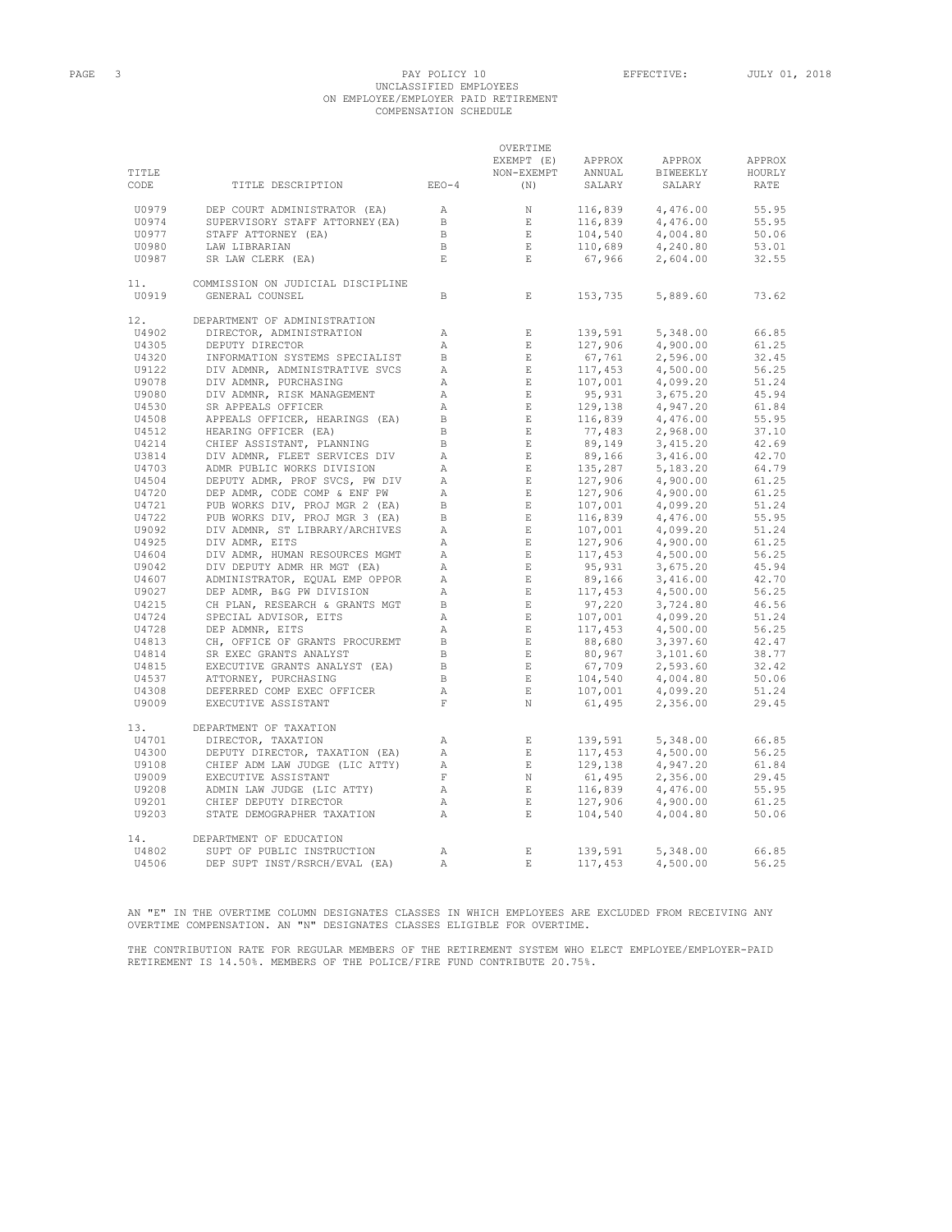## PAGE 3 PAY POLICY 10 EFFECTIVE: JULY 01, 2018 UNCLASSIFIED EMPLOYEES ON EMPLOYEE/EMPLOYER PAID RETIREMENT COMPENSATION SCHEDULE

| TITLE<br>CODE | TITLE DESCRIPTION                 | $EEO-4$        | OVERTIME<br>EXEMPT (E)<br>NON-EXEMPT<br>(N)                                                                                                                                                                                                                                                                                                                                                                  | APPROX<br>ANNUAL<br>SALARY                                                                                                  | APPROX<br>BIWEEKLY<br>SALARY | APPROX<br>HOURLY<br>RATE |
|---------------|-----------------------------------|----------------|--------------------------------------------------------------------------------------------------------------------------------------------------------------------------------------------------------------------------------------------------------------------------------------------------------------------------------------------------------------------------------------------------------------|-----------------------------------------------------------------------------------------------------------------------------|------------------------------|--------------------------|
|               |                                   |                |                                                                                                                                                                                                                                                                                                                                                                                                              | $116,839$<br>$-6839$                                                                                                        |                              |                          |
| U0979         | DEP COURT ADMINISTRATOR (EA)      | A              | $\mathbb N$                                                                                                                                                                                                                                                                                                                                                                                                  |                                                                                                                             | 4,476.00                     | 55.95                    |
| U0974         | SUPERVISORY STAFF ATTORNEY (EA)   | $\mathbf{B}$   | $\,$ E $\,$                                                                                                                                                                                                                                                                                                                                                                                                  |                                                                                                                             | 4,476.00                     | 55.95                    |
| U0977         | STAFF ATTORNEY (EA)               | $\mathbf{B}$   | E                                                                                                                                                                                                                                                                                                                                                                                                            | 104,540<br>104,540<br>110,689                                                                                               | 4,004.80                     | 50.06                    |
| U0980         | LAW LIBRARIAN                     | $\mathbf{B}$   | $E$ and $E$                                                                                                                                                                                                                                                                                                                                                                                                  |                                                                                                                             | 4,240.80                     | 53.01                    |
| U0987         | SR LAW CLERK (EA)                 | $\mathbf E$    | $\mathbf{E}^-$                                                                                                                                                                                                                                                                                                                                                                                               | 67,966                                                                                                                      | 2,604.00                     | 32.55                    |
| 11.           | COMMISSION ON JUDICIAL DISCIPLINE |                |                                                                                                                                                                                                                                                                                                                                                                                                              |                                                                                                                             |                              |                          |
| U0919         | GENERAL COUNSEL                   | B              | $\mathbf{E}$                                                                                                                                                                                                                                                                                                                                                                                                 | 153,735                                                                                                                     | 5,889.60                     | 73.62                    |
| 12.           | DEPARTMENT OF ADMINISTRATION      |                |                                                                                                                                                                                                                                                                                                                                                                                                              |                                                                                                                             |                              |                          |
| U4902         | DIRECTOR, ADMINISTRATION          | Α              | $\mathbf E$                                                                                                                                                                                                                                                                                                                                                                                                  | 139,591                                                                                                                     | 5,348.00                     | 66.85                    |
| U4305         | DEPUTY DIRECTOR                   | $\mathbb{A}$   | $\mathbf{E}$                                                                                                                                                                                                                                                                                                                                                                                                 | 127,906                                                                                                                     | 4,900.00                     | 61.25                    |
| U4320         | INFORMATION SYSTEMS SPECIALIST    | B              | E                                                                                                                                                                                                                                                                                                                                                                                                            | 67,761                                                                                                                      | 2,596.00                     | 32.45                    |
| U9122         | DIV ADMNR, ADMINISTRATIVE SVCS    | $\mathbb{A}$   | $E_{\rm c}$                                                                                                                                                                                                                                                                                                                                                                                                  | 117,453                                                                                                                     | 4,500.00                     | 56.25                    |
| U9078         | DIV ADMNR, PURCHASING             | $\mathbb{A}$   | $\mathbb E$ .                                                                                                                                                                                                                                                                                                                                                                                                | 107,001                                                                                                                     | 4,099.20                     | 51.24                    |
| U9080         | DIV ADMNR, RISK MANAGEMENT        | $\mathbb{A}$   | $\mathbf E$                                                                                                                                                                                                                                                                                                                                                                                                  |                                                                                                                             | 3,675.20                     | 45.94                    |
| U4530         | SR APPEALS OFFICER                | $\mathbb{A}$   | E                                                                                                                                                                                                                                                                                                                                                                                                            |                                                                                                                             | 4,947.20                     | 61.84                    |
| U4508         | APPEALS OFFICER, HEARINGS (EA)    | $\overline{B}$ | $\mathbf{E}$                                                                                                                                                                                                                                                                                                                                                                                                 | 107,001<br>95,931<br>129,138<br>116,839                                                                                     | 4,476.00                     | 55.95                    |
| U4512         | HEARING OFFICER (EA)              | B              | E                                                                                                                                                                                                                                                                                                                                                                                                            |                                                                                                                             | 2,968.00                     | 37.10                    |
| U4214         | CHIEF ASSISTANT, PLANNING         | $\mathbb{B}$   |                                                                                                                                                                                                                                                                                                                                                                                                              | $77,483$<br>89,149<br>89,166<br>135,287                                                                                     | 3,415.20                     | 42.69                    |
| U3814         | DIV ADMNR, FLEET SERVICES DIV     | $\mathbb{A}$   | $$\,{\rm E}$$ $$\,{\rm E}$$                                                                                                                                                                                                                                                                                                                                                                                  |                                                                                                                             | 3,416.00                     | 42.70                    |
| U4703         | ADMR PUBLIC WORKS DIVISION        | $\mathbb{A}$   | $\mathbb E$ .                                                                                                                                                                                                                                                                                                                                                                                                |                                                                                                                             | 5,183.20                     | 64.79                    |
| U4504         |                                   |                |                                                                                                                                                                                                                                                                                                                                                                                                              |                                                                                                                             |                              | 61.25                    |
|               | DEPUTY ADMR, PROF SVCS, PW DIV    | $\mathbb{A}$   | $$\mathbf{E}$$ $$\mathbf{E}$$                                                                                                                                                                                                                                                                                                                                                                                | $127,906$<br>$127,906$<br>$107,001$<br>$116,839$<br>$107,001$<br>$127,906$<br>$117,453$<br>$95,931$<br>$95,931$<br>$99,166$ | 4,900.00                     | 61.25                    |
| U4720         | DEP ADMR, CODE COMP & ENF PW      | $\mathbb{A}$   |                                                                                                                                                                                                                                                                                                                                                                                                              |                                                                                                                             | 4,900.00                     |                          |
| U4721         | PUB WORKS DIV, PROJ MGR 2 (EA)    | $\mathbf{B}$   | $\mathbb E$ .                                                                                                                                                                                                                                                                                                                                                                                                |                                                                                                                             | 4,099.20                     | 51.24                    |
| U4722         | PUB WORKS DIV, PROJ MGR 3 (EA)    | $\mathbb{B}$   | E                                                                                                                                                                                                                                                                                                                                                                                                            |                                                                                                                             | 4,476.00                     | 55.95                    |
| U9092         | DIV ADMNR, ST LIBRARY/ARCHIVES    | $\mathbb{A}$   | E                                                                                                                                                                                                                                                                                                                                                                                                            |                                                                                                                             | 4,099.20                     | 51.24                    |
| U4925         | DIV ADMR, EITS                    | $\mathbb{A}$   | E                                                                                                                                                                                                                                                                                                                                                                                                            |                                                                                                                             | 4,900.00                     | 61.25                    |
| U4604         | DIV ADMR, HUMAN RESOURCES MGMT    | $\mathbb{A}$   | $\mathbb E$ .                                                                                                                                                                                                                                                                                                                                                                                                |                                                                                                                             | 4,500.00                     | 56.25                    |
| U9042         | DIV DEPUTY ADMR HR MGT (EA)       | $\mathbb{A}$   | E                                                                                                                                                                                                                                                                                                                                                                                                            |                                                                                                                             | 3,675.20                     | 45.94                    |
| U4607         | ADMINISTRATOR, EQUAL EMP OPPOR    | A              | E                                                                                                                                                                                                                                                                                                                                                                                                            | $89,166$<br>117,453<br>97,220<br>107,001<br>117,453                                                                         | 3,416.00                     | 42.70                    |
| U9027         | DEP ADMR, B&G PW DIVISION         | $\mathbb A$    | $\mathbf E$                                                                                                                                                                                                                                                                                                                                                                                                  |                                                                                                                             | 4,500.00                     | 56.25                    |
| U4215         | CH PLAN, RESEARCH & GRANTS MGT    | $\overline{B}$ | E                                                                                                                                                                                                                                                                                                                                                                                                            |                                                                                                                             | 3,724.80                     | 46.56                    |
| U4724         | SPECIAL ADVISOR, EITS             | $\lambda$      | $E_{\rm{c}}$                                                                                                                                                                                                                                                                                                                                                                                                 |                                                                                                                             | 4,099.20                     | 51.24                    |
| U4728         | DEP ADMNR, EITS                   | $\mathbb{A}$   | $\mathbb E$ .                                                                                                                                                                                                                                                                                                                                                                                                |                                                                                                                             | 4,500.00                     | 56.25                    |
| U4813         | CH, OFFICE OF GRANTS PROCUREMT    | B              |                                                                                                                                                                                                                                                                                                                                                                                                              |                                                                                                                             | 3,397.60                     | 42.47                    |
| U4814         | SR EXEC GRANTS ANALYST            | $\,$ B         |                                                                                                                                                                                                                                                                                                                                                                                                              |                                                                                                                             | 3,101.60                     | 38.77                    |
| U4815         | EXECUTIVE GRANTS ANALYST (EA)     | $\mathbb B$    | $\begin{aligned} \mathbf{E} \\ \mathbf{E} \\ \mathbf{E} \\ \mathbf{E} \end{aligned}$                                                                                                                                                                                                                                                                                                                         | $117,453$<br>88,680<br>80,967<br>67,709<br>104.540<br>67,709                                                                | 2,593.60                     | 32.42                    |
| U4537         | ATTORNEY, PURCHASING              | $\mathbf{B}$   | E                                                                                                                                                                                                                                                                                                                                                                                                            |                                                                                                                             | 4,004.80                     | 50.06                    |
| U4308         | DEFERRED COMP EXEC OFFICER        | $\mathbb{A}$   | E                                                                                                                                                                                                                                                                                                                                                                                                            | 104,540<br>107,001                                                                                                          | 4,099.20                     | 51.24                    |
| U9009         | EXECUTIVE ASSISTANT               | $\mathbf F$    | N                                                                                                                                                                                                                                                                                                                                                                                                            | 61,495                                                                                                                      | 2,356.00                     | 29.45                    |
| 13.           | DEPARTMENT OF TAXATION            |                |                                                                                                                                                                                                                                                                                                                                                                                                              |                                                                                                                             |                              |                          |
| U4701         | DIRECTOR, TAXATION                | $\mathbb{A}$   | $\,$ E $\,$                                                                                                                                                                                                                                                                                                                                                                                                  | 139,591                                                                                                                     | 5,348.00                     | 66.85                    |
| U4300         | DEPUTY DIRECTOR, TAXATION (EA)    | $\mathbb{A}$   | $\mathbb{E}^{\mathbb{E}^{\mathbb{E}}_{\mathbb{E}^{\mathbb{E}}_{\mathbb{E}^{\mathbb{E}}_{\mathbb{E}^{\mathbb{E}}_{\mathbb{E}^{\mathbb{E}}_{\mathbb{E}^{\mathbb{E}}_{\mathbb{E}^{\mathbb{E}}_{\mathbb{E}^{\mathbb{E}}_{\mathbb{E}^{\mathbb{E}}_{\mathbb{E}^{\mathbb{E}}_{\mathbb{E}^{\mathbb{E}}_{\mathbb{E}^{\mathbb{E}}_{\mathbb{E}^{\mathbb{E}}_{\mathbb{E}^{\mathbb{E}}_{\mathbb{E}^{\mathbb{E}}_{\mathbb$ | 117,453                                                                                                                     | 4,500.00                     | 56.25                    |
| U9108         | CHIEF ADM LAW JUDGE (LIC ATTY)    | $\mathbb{A}$   | E                                                                                                                                                                                                                                                                                                                                                                                                            | 129,138                                                                                                                     | 4,947.20                     | 61.84                    |
|               |                                   | F              | N                                                                                                                                                                                                                                                                                                                                                                                                            |                                                                                                                             |                              |                          |
| U9009         | EXECUTIVE ASSISTANT               |                |                                                                                                                                                                                                                                                                                                                                                                                                              | 61,495                                                                                                                      | 2,356.00                     | 29.45                    |
| U9208         | ADMIN LAW JUDGE (LIC ATTY)        | $\mathbb{A}$   | $\sim$ E $^{-1}$                                                                                                                                                                                                                                                                                                                                                                                             | 01,495<br>116,839<br>127,906                                                                                                | 4,476.00                     | 55.95                    |
| U9201         | CHIEF DEPUTY DIRECTOR             | A              | E                                                                                                                                                                                                                                                                                                                                                                                                            |                                                                                                                             | 4,900.00                     | 61.25                    |
| U9203         | STATE DEMOGRAPHER TAXATION        | $\mathbb{A}$   | E                                                                                                                                                                                                                                                                                                                                                                                                            | 104,540                                                                                                                     | 4,004.80                     | 50.06                    |
| 14.           | DEPARTMENT OF EDUCATION           |                |                                                                                                                                                                                                                                                                                                                                                                                                              |                                                                                                                             |                              |                          |
| U4802         | SUPT OF PUBLIC INSTRUCTION        | $\mathbb{A}$   | $\,$ E $\,$                                                                                                                                                                                                                                                                                                                                                                                                  | 139,591                                                                                                                     | 5,348.00                     | 66.85                    |
| U4506         | DEP SUPT INST/RSRCH/EVAL (EA)     | $\mathbb{A}$   | $E_{\rm c}$                                                                                                                                                                                                                                                                                                                                                                                                  | 117,453                                                                                                                     | 4,500.00                     | 56.25                    |

AN "E" IN THE OVERTIME COLUMN DESIGNATES CLASSES IN WHICH EMPLOYEES ARE EXCLUDED FROM RECEIVING ANY OVERTIME COMPENSATION. AN "N" DESIGNATES CLASSES ELIGIBLE FOR OVERTIME.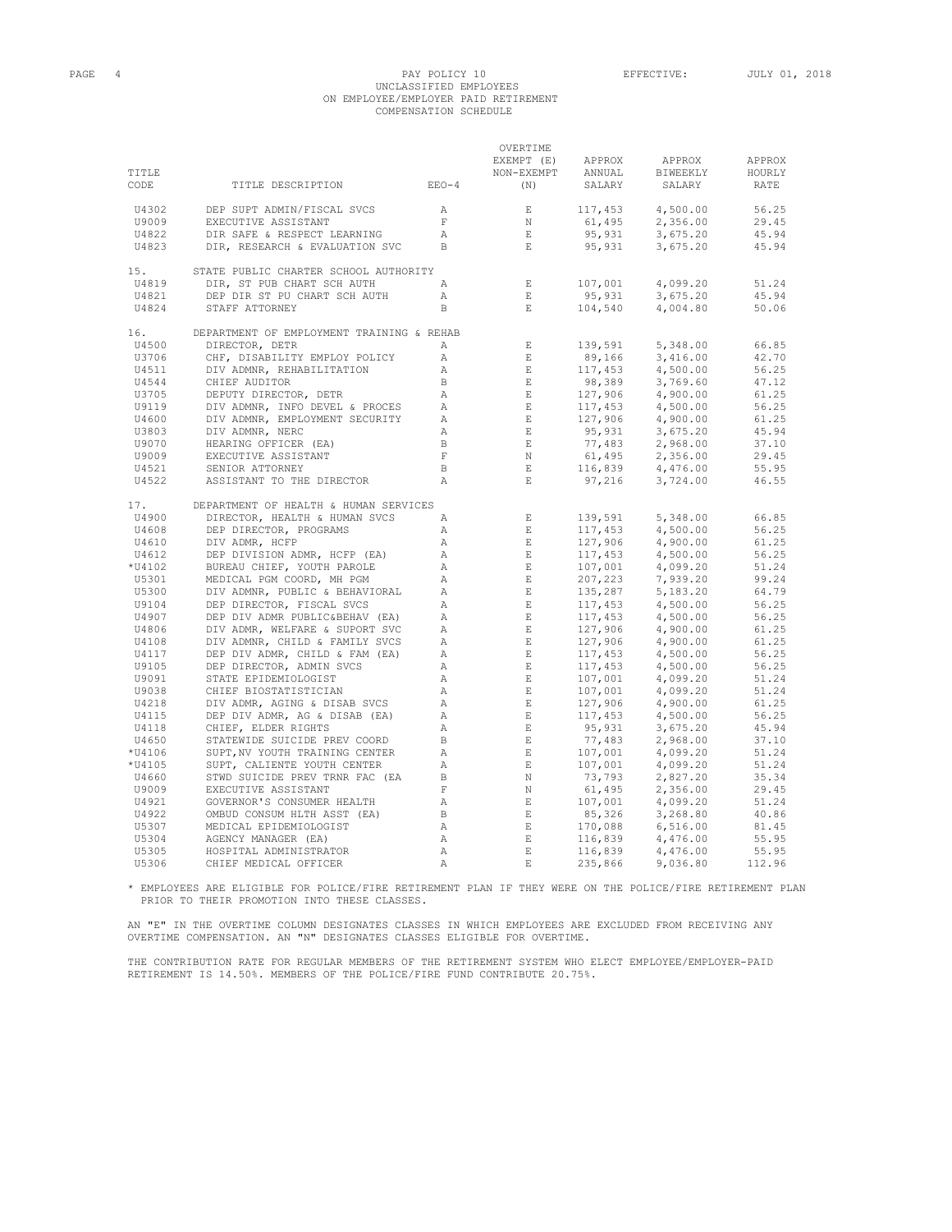#### PAGE 4 PAY POLICY 10 EFFECTIVE: JULY 01, 2018 UNCLASSIFIED EMPLOYEES ON EMPLOYEE/EMPLOYER PAID RETIREMENT COMPENSATION SCHEDULE

| TITLE<br>CODE | TITLE DESCRIPTION                         | $EEO-4$        | OVERTIME<br>EXEMPT (E)<br>NON-EXEMPT<br>(N) | APPROX<br>ANNUAL<br>SALARY                                    | APPROX<br>BIWEEKLY<br>SALARY | APPROX<br>HOURLY<br>RATE |
|---------------|-------------------------------------------|----------------|---------------------------------------------|---------------------------------------------------------------|------------------------------|--------------------------|
|               |                                           |                |                                             |                                                               |                              |                          |
| U4302         | DEP SUPT ADMIN/FISCAL SVCS                | $\overline{A}$ | E                                           | 117,453                                                       | 4,500.00                     | 56.25                    |
| U9009         | EXECUTIVE ASSISTANT                       | $\overline{F}$ | $_{\rm N}$                                  | 61,495                                                        | 2,356.00                     | 29.45                    |
| U4822         | DIR SAFE & RESPECT LEARNING               | $\mathbb{A}$   | $\mathbf E$                                 | 95,931                                                        | 3,675.20                     | 45.94                    |
| U4823         | DIR, RESEARCH & EVALUATION SVC            | B              | $\mathbf{E}$                                | 95,931                                                        | 3,675.20                     | 45.94                    |
| 15.           | STATE PUBLIC CHARTER SCHOOL AUTHORITY     |                |                                             |                                                               |                              |                          |
| U4819         | DIR, ST PUB CHART SCH AUTH                | Α              | $\mathbf{E}$                                | 107,001                                                       | 4,099.20                     | 51.24                    |
| U4821         | DEP DIR ST PU CHART SCH AUTH              | $\mathbb{A}$   | $\mathbf{E}$                                | 95,931                                                        | 3,675.20                     | 45.94                    |
| U4824         | STAFF ATTORNEY                            | <sub>B</sub>   | $\mathbf{E}$                                | 104,540                                                       | 4,004.80                     | 50.06                    |
| 16.           | DEPARTMENT OF EMPLOYMENT TRAINING & REHAB |                |                                             |                                                               |                              |                          |
| U4500         | DIRECTOR, DETR                            | A              | $\mathbf E$                                 | 139,591                                                       | 5,348.00                     | 66.85                    |
| U3706         | CHF, DISABILITY EMPLOY POLICY             | $\mathbb{A}$   | E                                           | 89,166                                                        | 3,416.00                     | 42.70                    |
| U4511         | DIV ADMNR, REHABILITATION                 | $\mathbb{A}$   | E                                           | 117,453                                                       | 4,500.00                     | 56.25                    |
| U4544         | CHIEF AUDITOR                             | $\mathbf{B}$   | E                                           | 98,389                                                        | 3,769.60                     | 47.12                    |
| U3705         | DEPUTY DIRECTOR, DETR                     | $\mathbb{A}$   | E                                           | 127,906                                                       | 4,900.00                     | 61.25                    |
| U9119         | DIV ADMNR, INFO DEVEL & PROCES            | $\mathbb{A}$   | E                                           | 117,453                                                       | 4,500.00                     | 56.25                    |
| U4600         | DIV ADMNR, EMPLOYMENT SECURITY            | $\mathbb{A}$   | $\mathbb E$ .                               | $127,906$<br>$95,931$<br>$77,483$<br>$61,495$                 | 4,900.00                     | 61.25                    |
| U3803         | DIV ADMNR, NERC                           | $\mathbb{A}$   | $\_$ E $\_$                                 |                                                               | 3,675.20                     | 45.94                    |
| U9070         | HEARING OFFICER (EA)                      | $\mathbf B$    | E                                           |                                                               | 2,968.00                     | 37.10                    |
| U9009         | EXECUTIVE ASSISTANT                       | $\mathbf F$    | N                                           |                                                               | 2,356.00                     | 29.45                    |
| U4521         | SENIOR ATTORNEY                           | $\,$ B         | E                                           | 116,839                                                       | 4,476.00                     | 55.95                    |
| U4522         | ASSISTANT TO THE DIRECTOR                 | $\mathbb{A}$   | $\mathbf{E}$                                | 97,216                                                        | 3,724.00                     | 46.55                    |
| 17.           | DEPARTMENT OF HEALTH & HUMAN SERVICES     |                |                                             |                                                               |                              |                          |
| U4900         | DIRECTOR, HEALTH & HUMAN SVCS             | $\mathbb{A}$   | $\mathbf E$                                 | 139,591                                                       | 5,348.00                     | 66.85                    |
| U4608         | DEP DIRECTOR, PROGRAMS                    | $\mathbb{A}$   | E                                           | 117,453                                                       | 4,500.00                     | 56.25                    |
| U4610         | DIV ADMR, HCFP                            | $\mathbb{A}$   | E                                           | 127,906                                                       | 4,900.00                     | 61.25                    |
| U4612         | DEP DIVISION ADMR, HCFP (EA)              | $\mathbb{A}$   | E                                           | 117,453                                                       | 4,500.00                     | 56.25                    |
| *U4102        | BUREAU CHIEF, YOUTH PAROLE                | $\mathbb{A}$   | E                                           | 107,001                                                       | 4,099.20                     | 51.24                    |
| U5301         | MEDICAL PGM COORD, MH PGM                 | $\mathbb{A}$   | E                                           | 207,223                                                       | 7,939.20                     | 99.24                    |
| U5300         | DIV ADMNR, PUBLIC & BEHAVIORAL            | $\mathbb{A}$   | $\mathbb E$                                 | 135,287                                                       | 5,183.20                     | 64.79                    |
| U9104         | DEP DIRECTOR, FISCAL SVCS                 | $\mathbb{A}$   | $\mathbb E$                                 |                                                               | 4,500.00                     | 56.25                    |
| U4907         | DEP DIV ADMR PUBLIC&BEHAV (EA)            | $\mathbb{A}$   | E                                           | 117, 453<br>117, 453<br>127, 906<br>127, 906<br>117, 453      | 4,500.00                     | 56.25                    |
| U4806         | DIV ADMR, WELFARE & SUPORT SVC            | $\mathbb{A}$   | $\mathbb E$                                 |                                                               | 4,900.00                     | 61.25                    |
| U4108         | DIV ADMNR, CHILD & FAMILY SVCS            | $\mathbb{A}$   | E                                           |                                                               | 4,900.00                     | 61.25                    |
| U4117         | DEP DIV ADMR, CHILD & FAM (EA)            | $\mathbb{A}$   | E                                           |                                                               | 4,500.00                     | 56.25                    |
| U9105         | DEP DIRECTOR, ADMIN SVCS                  | Α              | E                                           |                                                               | 4,500.00                     | 56.25                    |
| U9091         | STATE EPIDEMIOLOGIST                      | $\mathbb{A}$   | $\quad$ E $\quad$                           | $117,453$<br>$117,453$<br>$107,001$<br>$107,001$<br>$107,001$ | 4,099.20                     | 51.24                    |
| U9038         | CHIEF BIOSTATISTICIAN                     | Α              | $\;$ E                                      |                                                               | 4,099.20                     | 51.24                    |
| U4218         | DIV ADMR, AGING & DISAB SVCS              | Α              | $\_$ E $\_$                                 | $127,906$<br>$117,453$<br>$95,931$<br>$77,483$                | 4,900.00                     | 61.25                    |
| U4115         | DEP DIV ADMR, AG & DISAB (EA)             | Α              | $\_$ $\_$ $\_$                              |                                                               | 4,500.00                     | 56.25                    |
| U4118         | CHIEF, ELDER RIGHTS                       | Α              | $\mathbb E$ .                               |                                                               | 3,675.20                     | 45.94                    |
| U4650         | STATEWIDE SUICIDE PREV COORD              | $\mathbf{B}$   | $\_$ $\,$ E                                 |                                                               | 2,968.00                     | 37.10                    |
| *U4106        | SUPT, NV YOUTH TRAINING CENTER            | Α              | $-$ E $\,$                                  |                                                               | 4,099.20                     | 51.24                    |
| *U4105        | SUPT, CALIENTE YOUTH CENTER               | Α              | $-$ E $\,$                                  |                                                               | 4,099.20                     | 51.24                    |
| U4660         | STWD SUICIDE PREV TRNR FAC (EA            | $_{\rm B}$     | N                                           | $107,001$<br>$107,001$<br>$73,793$<br>$61,495$                | 2,827.20                     | 35.34                    |
| U9009         | EXECUTIVE ASSISTANT                       | $\mathbf{F}$   | N                                           |                                                               | 2,356.00                     | 29.45                    |
| U4921         | GOVERNOR'S CONSUMER HEALTH                | $\mathbb{A}$   | E                                           |                                                               | 4,099.20                     | 51.24                    |
| U4922         | OMBUD CONSUM HLTH ASST (EA)               | $\mathbf{B}$   | E                                           | 107,001<br>85,326                                             | 3,268.80                     | 40.86                    |
| U5307         | MEDICAL EPIDEMIOLOGIST                    | Α              | E                                           | 170,088                                                       | 6,516.00                     | 81.45                    |
| U5304         | AGENCY MANAGER (EA)                       | $\mathbb{A}$   | $\mathbb E$                                 | 116,839                                                       | 4,476.00                     | 55.95                    |
| U5305         | HOSPITAL ADMINISTRATOR                    | $\mathbb{A}$   | $\mathbf E$                                 | 116,839                                                       | 4,476.00                     | 55.95                    |
| U5306         | CHIEF MEDICAL OFFICER                     | $\mathbb{A}$   | $\mathbf E$                                 | 235,866                                                       | 9,036.80                     | 112.96                   |

\* EMPLOYEES ARE ELIGIBLE FOR POLICE/FIRE RETIREMENT PLAN IF THEY WERE ON THE POLICE/FIRE RETIREMENT PLAN PRIOR TO THEIR PROMOTION INTO THESE CLASSES.

AN "E" IN THE OVERTIME COLUMN DESIGNATES CLASSES IN WHICH EMPLOYEES ARE EXCLUDED FROM RECEIVING ANY<br>OVERTIME COMPENSATION. AN "N" DESIGNATES CLASSES ELIGIBLE FOR OVERTIME.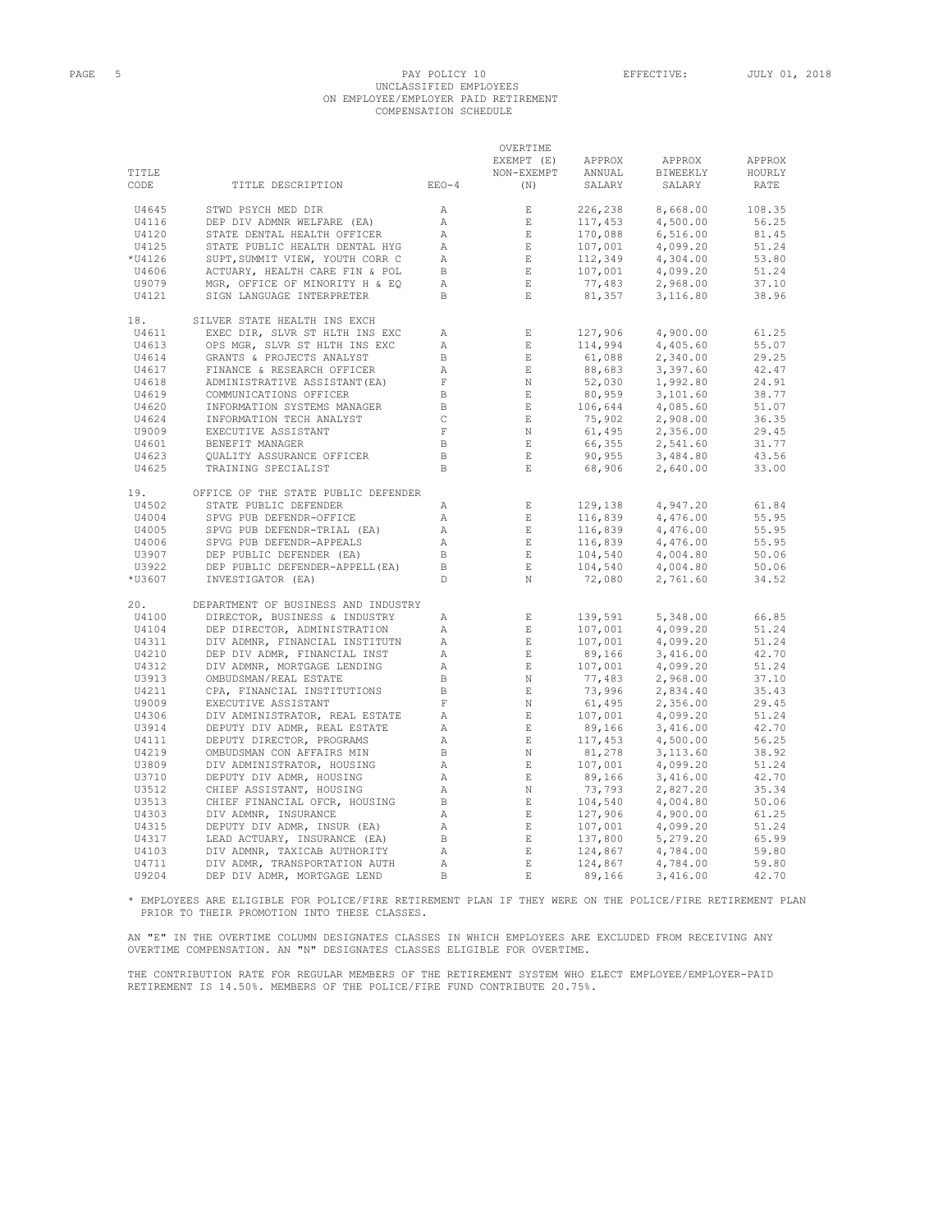### PAGE 5 PAY POLICY 10 EFFECTIVE: JULY 01, 2018 UNCLASSIFIED EMPLOYEES ON EMPLOYEE/EMPLOYER PAID RETIREMENT COMPENSATION SCHEDULE

| TITLE<br>CODE | TITLE DESCRIPTION                                                                                | $EEO-4$            | OVERTIME<br>EXEMPT (E) APPROX<br>NON-EXEMPT<br>(N)                                                         | ANNUAL<br>SALARY                                                                                                                  | APPROX<br>BIWEEKLY<br>SALARY | APPROX<br>HOURLY<br>RATE |
|---------------|--------------------------------------------------------------------------------------------------|--------------------|------------------------------------------------------------------------------------------------------------|-----------------------------------------------------------------------------------------------------------------------------------|------------------------------|--------------------------|
| U4645         | STWD PSYCH MED DIR                                                                               | A                  | E                                                                                                          | 226, 238<br>117, 453<br>170, 088<br>107, 001<br>107, 001<br>17, 483<br>31, 357                                                    | 8,668.00                     | 108.35                   |
| U4116         | DEP DIV ADMNR WELFARE (EA)                                                                       | A                  | E                                                                                                          |                                                                                                                                   | 4,500.00                     | 56.25                    |
| U4120         | STATE DENTAL HEALTH OFFICER                                                                      | A                  | $\mathbb E$ .                                                                                              |                                                                                                                                   | 6,516.00                     | 81.45                    |
| U4125         | STATE PUBLIC HEALTH DENTAL HYG                                                                   | $\mathbb{A}$       |                                                                                                            |                                                                                                                                   | 4,099.20                     | 51.24                    |
| *U4126        | SUPT, SUMMIT VIEW, YOUTH CORR C                                                                  | A                  | $\begin{array}{c} \mathbf{E} \\ \mathbf{E} \end{array}$                                                    |                                                                                                                                   | 4,304.00                     | 53.80                    |
| U4606         | ACTUARY, HEALTH CARE FIN & POL                                                                   | $\mathbf B$        | $\blacksquare$ .                                                                                           |                                                                                                                                   | 4,099.20                     | 51.24                    |
| U9079         |                                                                                                  | Α                  | $\mathbb E$                                                                                                |                                                                                                                                   | 2,968.00                     | 37.10                    |
| U4121         | <b>DOLL, REALTH CARE FIN L</b><br>ACTUARY, HEALTH CARE FIN LEQ<br>MGR, OFFICE OF MINORITY H & EQ | B                  | E                                                                                                          |                                                                                                                                   | 3,116.80                     | 38.96                    |
|               |                                                                                                  |                    |                                                                                                            |                                                                                                                                   |                              |                          |
| 18.           | SILVER STATE HEALTH INS EXCH                                                                     |                    |                                                                                                            |                                                                                                                                   |                              |                          |
| U4611         | EXEC DIR, SLVR ST HLTH INS EXC                                                                   | Α                  |                                                                                                            |                                                                                                                                   | 4,900.00                     | 61.25                    |
| U4613         | OPS MGR, SLVR ST HLTH INS EXC                                                                    | А                  | $\begin{array}{ll} \underline{\mathbf{E}} \\ \underline{\mathbf{E}} \\ \underline{\mathbf{E}} \end{array}$ |                                                                                                                                   | 4,405.60                     | 55.07                    |
| U4614         | GRANTS & PROJECTS ANALYST                                                                        | B                  |                                                                                                            |                                                                                                                                   | 2,340.00                     | 29.25                    |
| U4617         | ---.<br>FINANCE & RESEARCH OFFICER<br>ADMINISTRATIVE ASSISTANT(EA)                               | $\mathbb{A}$       |                                                                                                            |                                                                                                                                   | 3,397.60                     | 42.47                    |
| U4618         |                                                                                                  | $-$ F $\,$         |                                                                                                            |                                                                                                                                   | 1,992.80                     | 24.91                    |
| U4619         | COMMUNICATIONS OFFICER                                                                           | $\mathbb B$        | $\begin{array}{c}\n\vdots \\ \vdots \\ \vdots \\ \vdots\n\end{array}$                                      |                                                                                                                                   | 3,101.60                     | 38.77                    |
| U4620         | INFORMATION SYSTEMS MANAGER                                                                      | $\mathbb B$        |                                                                                                            |                                                                                                                                   | 4,085.60                     | 51.07                    |
| U4624         | INFORMATION TECH ANALYST                                                                         | $\,$ C             | $\sim$ E $_{\odot}$                                                                                        |                                                                                                                                   | 2,908.00                     | 36.35                    |
| U9009         | EXECUTIVE ASSISTANT                                                                              | $\;$ F             | N                                                                                                          |                                                                                                                                   | 2,356.00                     | 29.45                    |
| U4601         | BENEFIT MANAGER                                                                                  | $\mathbf{B}$       | $\mathbb{E}$ .                                                                                             |                                                                                                                                   | 2,541.60                     | 31.77                    |
| U4623         | <b>OUALITY ASSURANCE OFFICER</b>                                                                 | $\mathbf{B}$       | E                                                                                                          |                                                                                                                                   | 3,484.80                     | 43.56                    |
| U4625         | TRAINING SPECIALIST                                                                              | B                  | E                                                                                                          | $\begin{array}{l} 127,906\\ 114,994\\ 61,088\\ 88,683\\ 2,030\\ 80,959\\ 106,644\\ 75,902\\ 66,355\\ 90,955\\ 68,906 \end{array}$ | 2,640.00                     | 33.00                    |
| 19.           | OFFICE OF THE STATE PUBLIC DEFENDER                                                              |                    |                                                                                                            |                                                                                                                                   |                              |                          |
| U4502         | STATE PUBLIC DEFENDER                                                                            | A                  |                                                                                                            | 129,138                                                                                                                           | 4,947.20                     | 61.84                    |
| U4004         | SPVG PUB DEFENDR-OFFICE                                                                          | A                  | $\begin{array}{c} \mathbf{E}\\ \mathbf{E} \end{array}$                                                     |                                                                                                                                   | 4,476.00                     | 55.95                    |
| U4005         | SPVG PUB DEFENDR-TRIAL (EA)<br>SPVG PUB DEFENDR-TRIAL (EA)                                       | $\mathbb{A}$       | $\sim$ E $_{\odot}$                                                                                        |                                                                                                                                   | 4,476.00                     | 55.95                    |
| U4006         | SPVG PUB DEFENDR-APPEALS                                                                         | A                  | E                                                                                                          |                                                                                                                                   | 4,476.00                     | 55.95                    |
| U3907         | DEP PUBLIC DEFENDER (EA)<br>DEP PUBLIC DEFENDER (EA)<br>DEP PUBLIC DEFENDER (EA)                 | $\overline{B}$     | $\mathbb E$                                                                                                |                                                                                                                                   | 4,004.80                     | 50.06                    |
| U3922         | DEP PUBLIC DEFENDER-APPELL (EA)                                                                  | $\overline{B}$     | E                                                                                                          |                                                                                                                                   | 4,004.80                     | 50.06                    |
| *U3607        | --<br>INVESTIGATOR (EA)                                                                          | $\mathbb D$        | $\mathbb N$                                                                                                | 129,130<br>116,839<br>116,839<br>116,839<br>104,540<br>104,540<br>72,080                                                          | 2,761.60                     | 34.52                    |
| 20.           | DEPARTMENT OF BUSINESS AND INDUSTRY                                                              |                    |                                                                                                            |                                                                                                                                   |                              |                          |
| U4100         | DIRECTOR, BUSINESS & INDUSTRY                                                                    | А                  |                                                                                                            | 139,591                                                                                                                           | 5,348.00                     | 66.85                    |
| U4104         | DEP DIRECTOR, ADMINISTRATION                                                                     | $\mathbb{A}$       | $$\rm \,E$$ $$\rm \,E$$                                                                                    |                                                                                                                                   | 4,099.20                     | 51.24                    |
| U4311         | DIV ADMNR, FINANCIAL INSTITUTN                                                                   | $\mathbb{A}$       | E                                                                                                          | $139,591$<br>$107,001$<br>$89,166$<br>$107,001$<br>$77,483$<br>$73,996$<br>$61,495$<br>$107,001$                                  | 4,099.20                     | 51.24                    |
| U4210         | DEP DIV ADMR, FINANCIAL INST                                                                     | A                  |                                                                                                            |                                                                                                                                   | 3,416.00                     | 42.70                    |
| U4312         | DIV ADMNR, MORTGAGE LENDING                                                                      | A                  | $\begin{array}{c}\n\text{E} \\ \text{E} \\ \text{N}\n\end{array}$                                          |                                                                                                                                   | 4,099.20                     | 51.24                    |
| U3913         | OMBUDSMAN/REAL ESTATE                                                                            | $\mathbf{B}$       |                                                                                                            |                                                                                                                                   | 2,968.00                     | 37.10                    |
| U4211         | CPA, FINANCIAL INSTITUTIONS                                                                      | $\hfill \Box$<br>B | E                                                                                                          |                                                                                                                                   | 2,834.40                     | 35.43                    |
| U9009         | EXECUTIVE ASSISTANT                                                                              | $\;$ F             | $\begin{array}{c}\n\ldots \\ N \\ E\n\end{array}$                                                          |                                                                                                                                   | 2,356.00                     | 29.45                    |
| U4306         | DIV ADMINISTRATOR, REAL ESTATE                                                                   | A                  |                                                                                                            |                                                                                                                                   | 4,099.20                     | 51.24                    |
| U3914         | DEPUTY DIV ADMR, REAL ESTATE                                                                     | $\mathbb{A}$       | $\blacksquare$<br>E $\blacksquare$                                                                         |                                                                                                                                   | 3,416.00                     | 42.70                    |
| U4111         | DEPUTY DIRECTOR, PROGRAMS                                                                        | $\mathbb{A}$       | E                                                                                                          |                                                                                                                                   | 4,500.00                     | 56.25                    |
| U4219         | OMBUDSMAN CON AFFAIRS MIN                                                                        | $\mathbf{B}$       | $\begin{array}{c}\n\mathbf{N} \\ \mathbf{E} \\ \mathbf{E}\n\end{array}$                                    |                                                                                                                                   | 3,113.60                     | 38.92                    |
| U3809         | DIV ADMINISTRATOR, HOUSING                                                                       | A                  |                                                                                                            |                                                                                                                                   | 4,099.20                     | 51.24                    |
| U3710         | DEPUTY DIV ADMR, HOUSING                                                                         | $\mathbb{A}$       |                                                                                                            |                                                                                                                                   | 3,416.00                     | 42.70                    |
| U3512         | CHIEF ASSISTANT, HOUSING                                                                         | A                  |                                                                                                            | $107,001$<br>89,166<br>117,453<br>81,278<br>107,001<br>89,166<br>73,793                                                           | 2,827.20                     | 35.34                    |
| U3513         | CHIEF FINANCIAL OFCR, HOUSING                                                                    | $\mathbf{B}$       |                                                                                                            |                                                                                                                                   | 4,004.80                     | 50.06                    |
| U4303         | DIV ADMNR, INSURANCE                                                                             | $\mathbb{A}$       |                                                                                                            |                                                                                                                                   | 4,900.00                     | 61.25                    |
| U4315         |                                                                                                  | A                  |                                                                                                            |                                                                                                                                   | 4,099.20                     | 51.24                    |
| U4317         | DEPUTY DIV ADMR, INSUR (EA)<br>LEAD ACTUARY, INSURANCE (EA)                                      | $\Box$             | $\sim$ E $_{\odot}$                                                                                        |                                                                                                                                   | 5,279.20                     | 65.99                    |
| U4103         | DIV ADMNR, TAXICAB AUTHORITY                                                                     | А                  |                                                                                                            |                                                                                                                                   | 4,784.00                     | 59.80                    |
| U4711         | DIV ADMR, TRANSPORTATION AUTH                                                                    | Α                  | $\frac{1}{\mathbf{E}}$<br>$\quad$ E                                                                        | $104,540$<br>127,906<br>127,906<br>107,001<br>137,800<br>124,867<br>124,867<br>124,867                                            | 4,784.00                     | 59.80                    |
| U9204         | DEP DIV ADMR, MORTGAGE LEND                                                                      | B                  | $\mathbf{E}$                                                                                               | 89,166                                                                                                                            | 3,416.00                     | 42.70                    |
|               |                                                                                                  |                    |                                                                                                            |                                                                                                                                   |                              |                          |

\* EMPLOYEES ARE ELIGIBLE FOR POLICE/FIRE RETIREMENT PLAN IF THEY WERE ON THE POLICE/FIRE RETIREMENT PLAN PRIOR TO THEIR PROMOTION INTO THESE CLASSES.

AN "E" IN THE OVERTIME COLUMN DESIGNATES CLASSES IN WHICH EMPLOYEES ARE EXCLUDED FROM RECEIVING ANY OVERTIME COMPENSATION. AN "N" DESIGNATES CLASSES ELIGIBLE FOR OVERTIME.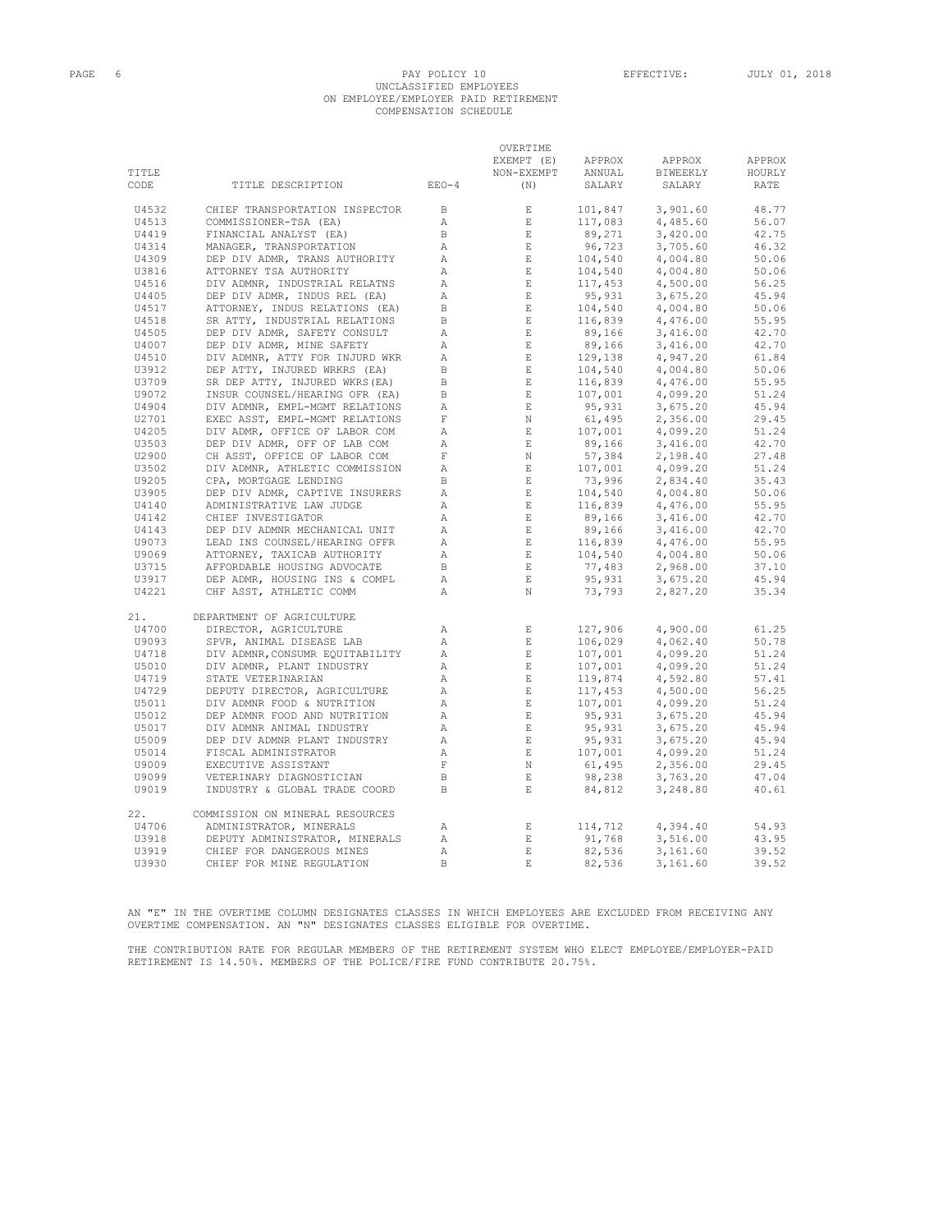# PAGE 6 PAY POLICY 10 EFFECTIVE: JULY 01, 2018 UNCLASSIFIED EMPLOYEES ON EMPLOYEE/EMPLOYER PAID RETIREMENT COMPENSATION SCHEDULE

|       |                                 |                | OVERTIME                                                                                                                                                                                                                                                                                                                                                                                                                                                                                                           |                                          |                                                                                                                                                                                                                                                                           |        |
|-------|---------------------------------|----------------|--------------------------------------------------------------------------------------------------------------------------------------------------------------------------------------------------------------------------------------------------------------------------------------------------------------------------------------------------------------------------------------------------------------------------------------------------------------------------------------------------------------------|------------------------------------------|---------------------------------------------------------------------------------------------------------------------------------------------------------------------------------------------------------------------------------------------------------------------------|--------|
|       |                                 |                | EXEMPT (E)                                                                                                                                                                                                                                                                                                                                                                                                                                                                                                         | APPROX                                   | APPROX                                                                                                                                                                                                                                                                    | APPROX |
| TITLE |                                 |                | NON-EXEMPT                                                                                                                                                                                                                                                                                                                                                                                                                                                                                                         |                                          | APPROX APPROX<br>ANNUAL BIWEEKLY                                                                                                                                                                                                                                          | HOURLY |
| CODE  | TITLE DESCRIPTION               | EEO-4          | (N)                                                                                                                                                                                                                                                                                                                                                                                                                                                                                                                | SALARY                                   | SALARY                                                                                                                                                                                                                                                                    | RATE   |
| U4532 | CHIEF TRANSPORTATION INSPECTOR  | $\Box$         | E                                                                                                                                                                                                                                                                                                                                                                                                                                                                                                                  | 101,847                                  | 3,901.60                                                                                                                                                                                                                                                                  | 48.77  |
| U4513 | COMMISSIONER-TSA (EA)           | $\mathbb{A}$   | $\,$ E $\,$                                                                                                                                                                                                                                                                                                                                                                                                                                                                                                        | 117,083                                  | 4,485.60                                                                                                                                                                                                                                                                  | 56.07  |
| U4419 | FINANCIAL ANALYST (EA)          | $\mathbf{B}$   | $\quad$ E $\quad$                                                                                                                                                                                                                                                                                                                                                                                                                                                                                                  | $89,271$<br>96,723<br>104,540<br>104,540 | 3,420.00                                                                                                                                                                                                                                                                  | 42.75  |
| U4314 | MANAGER, TRANSPORTATION         | $\mathbb{A}$   |                                                                                                                                                                                                                                                                                                                                                                                                                                                                                                                    |                                          | 3,705.60                                                                                                                                                                                                                                                                  | 46.32  |
| U4309 | DEP DIV ADMR, TRANS AUTHORITY   | $\mathbb{A}$   | $$\frac{\text{E}}{\text{E}}$$                                                                                                                                                                                                                                                                                                                                                                                                                                                                                      |                                          | 4,004.80                                                                                                                                                                                                                                                                  | 50.06  |
| U3816 | ATTORNEY TSA AUTHORITY          | $\mathbb{A}$   | E                                                                                                                                                                                                                                                                                                                                                                                                                                                                                                                  |                                          | 4,004.80                                                                                                                                                                                                                                                                  | 50.06  |
| U4516 | DIV ADMNR, INDUSTRIAL RELATNS   | Α              |                                                                                                                                                                                                                                                                                                                                                                                                                                                                                                                    |                                          |                                                                                                                                                                                                                                                                           | 56.25  |
| U4405 | DEP DIV ADMR, INDUS REL (EA)    | Α              |                                                                                                                                                                                                                                                                                                                                                                                                                                                                                                                    |                                          |                                                                                                                                                                                                                                                                           | 45.94  |
| U4517 | ATTORNEY, INDUS RELATIONS (EA)  | B              |                                                                                                                                                                                                                                                                                                                                                                                                                                                                                                                    |                                          |                                                                                                                                                                                                                                                                           | 50.06  |
| U4518 | SR ATTY, INDUSTRIAL RELATIONS   | $\,$ B         |                                                                                                                                                                                                                                                                                                                                                                                                                                                                                                                    |                                          |                                                                                                                                                                                                                                                                           | 55.95  |
| U4505 | DEP DIV ADMR, SAFETY CONSULT    | Α              |                                                                                                                                                                                                                                                                                                                                                                                                                                                                                                                    |                                          |                                                                                                                                                                                                                                                                           | 42.70  |
| U4007 | DEP DIV ADMR, MINE SAFETY       | $\mathbb{A}$   |                                                                                                                                                                                                                                                                                                                                                                                                                                                                                                                    |                                          |                                                                                                                                                                                                                                                                           | 42.70  |
| U4510 | DIV ADMNR, ATTY FOR INJURD WKR  | Α              |                                                                                                                                                                                                                                                                                                                                                                                                                                                                                                                    |                                          |                                                                                                                                                                                                                                                                           | 61.84  |
| U3912 | DEP ATTY, INJURED WRKRS (EA)    | $\, {\bf B}$   |                                                                                                                                                                                                                                                                                                                                                                                                                                                                                                                    |                                          |                                                                                                                                                                                                                                                                           | 50.06  |
| U3709 | SR DEP ATTY, INJURED WKRS (EA)  | B              |                                                                                                                                                                                                                                                                                                                                                                                                                                                                                                                    |                                          |                                                                                                                                                                                                                                                                           | 55.95  |
| U9072 | INSUR COUNSEL/HEARING OFR (EA)  | B              |                                                                                                                                                                                                                                                                                                                                                                                                                                                                                                                    |                                          |                                                                                                                                                                                                                                                                           | 51.24  |
| U4904 | DIV ADMNR, EMPL-MGMT RELATIONS  | $\mathbb{A}$   |                                                                                                                                                                                                                                                                                                                                                                                                                                                                                                                    |                                          |                                                                                                                                                                                                                                                                           | 45.94  |
| U2701 | EXEC ASST, EMPL-MGMT RELATIONS  | F              |                                                                                                                                                                                                                                                                                                                                                                                                                                                                                                                    |                                          |                                                                                                                                                                                                                                                                           | 29.45  |
| U4205 | DIV ADMR, OFFICE OF LABOR COM   | $\mathbb{A}$   |                                                                                                                                                                                                                                                                                                                                                                                                                                                                                                                    |                                          |                                                                                                                                                                                                                                                                           | 51.24  |
| U3503 | DEP DIV ADMR, OFF OF LAB COM    | Α              |                                                                                                                                                                                                                                                                                                                                                                                                                                                                                                                    |                                          |                                                                                                                                                                                                                                                                           | 42.70  |
| U2900 | CH ASST, OFFICE OF LABOR COM    | $\mathbf F$    | $\begin{aligned} \mathbb{R}\times\mathbb{R} & \times \mathbb{R} \times \mathbb{R} \times \mathbb{R} \times \mathbb{R} \times \mathbb{R} \times \mathbb{R} \times \mathbb{R} \times \mathbb{R} \times \mathbb{R} \times \mathbb{R} \times \mathbb{R} \times \mathbb{R} \times \mathbb{R} \times \mathbb{R} \times \mathbb{R} \times \mathbb{R} \times \mathbb{R} \times \mathbb{R} \times \mathbb{R} \times \mathbb{R} \times \mathbb{R} \times \mathbb{R} \times \mathbb{R} \times \mathbb{R} \times \mathbb{R} \$ |                                          | $\begin{array}{cccc} 104, 540 & 4, 004.80 \\ 117, 453 & 4, 500.00 \\ 95, 931 & 3, 675.20 \\ 104, 540 & 4, 004.80 \\ 89, 166 & 3, 416.00 \\ 89, 166 & 3, 416.00 \\ 129, 138 & 4, 947.20 \\ 104, 540 & 4, 947.20 \\ 116, 839 & 4, 047.20 \\ 107, 001 & 4, 099.20 \\ 95, 9$  | 27.48  |
| U3502 | DIV ADMNR, ATHLETIC COMMISSION  | $\mathbb{A}$   | $\begin{array}{c}\n\mathbf{E} \\ \mathbf{E} \\ \mathbf{E}\n\end{array}$                                                                                                                                                                                                                                                                                                                                                                                                                                            |                                          |                                                                                                                                                                                                                                                                           | 51.24  |
| U9205 | CPA, MORTGAGE LENDING           | $\,$ B         |                                                                                                                                                                                                                                                                                                                                                                                                                                                                                                                    |                                          |                                                                                                                                                                                                                                                                           | 35.43  |
| U3905 | DEP DIV ADMR, CAPTIVE INSURERS  | А              |                                                                                                                                                                                                                                                                                                                                                                                                                                                                                                                    |                                          |                                                                                                                                                                                                                                                                           | 50.06  |
| U4140 | ADMINISTRATIVE LAW JUDGE        | $\mathbb{A}$   | E                                                                                                                                                                                                                                                                                                                                                                                                                                                                                                                  |                                          |                                                                                                                                                                                                                                                                           | 55.95  |
| U4142 | CHIEF INVESTIGATOR              | $\mathbb{A}$   | $\begin{array}{c} \mathbf{E} \\ \mathbf{E} \\ \mathbf{E} \end{array}$                                                                                                                                                                                                                                                                                                                                                                                                                                              |                                          |                                                                                                                                                                                                                                                                           | 42.70  |
| U4143 | DEP DIV ADMNR MECHANICAL UNIT   | Α              |                                                                                                                                                                                                                                                                                                                                                                                                                                                                                                                    |                                          |                                                                                                                                                                                                                                                                           | 42.70  |
| U9073 | LEAD INS COUNSEL/HEARING OFFR   | Α              |                                                                                                                                                                                                                                                                                                                                                                                                                                                                                                                    |                                          |                                                                                                                                                                                                                                                                           | 55.95  |
| U9069 | ATTORNEY, TAXICAB AUTHORITY     | $\mathbb{A}$   | $\mathbb E$ .                                                                                                                                                                                                                                                                                                                                                                                                                                                                                                      |                                          |                                                                                                                                                                                                                                                                           | 50.06  |
| U3715 | AFFORDABLE HOUSING ADVOCATE     | $\overline{B}$ | $\mathbb{E}$ .                                                                                                                                                                                                                                                                                                                                                                                                                                                                                                     |                                          |                                                                                                                                                                                                                                                                           | 37.10  |
| U3917 | DEP ADMR, HOUSING INS & COMPL   | A              | E                                                                                                                                                                                                                                                                                                                                                                                                                                                                                                                  |                                          |                                                                                                                                                                                                                                                                           | 45.94  |
| U4221 | CHF ASST, ATHLETIC COMM         | Α              | N                                                                                                                                                                                                                                                                                                                                                                                                                                                                                                                  |                                          | $\begin{array}{cccc} 57,384 & 2,198.40 \\ 107,001 & 4,099.20 \\ 73,996 & 2,834.40 \\ 104,540 & 4,004.80 \\ 16,839 & 4,476.00 \\ 89,166 & 3,416.00 \\ 116,839 & 4,476.00 \\ 104,540 & 4,004.80 \\ 17,483 & 2,968.00 \\ 95,931 & 3,675.20 \\ 73,793 & 2,827.20 \end{array}$ | 35.34  |
| 21.   | DEPARTMENT OF AGRICULTURE       |                |                                                                                                                                                                                                                                                                                                                                                                                                                                                                                                                    |                                          |                                                                                                                                                                                                                                                                           |        |
| U4700 | DIRECTOR, AGRICULTURE           | $\mathbb{A}$   | $\parallel$ $\parallel$ E                                                                                                                                                                                                                                                                                                                                                                                                                                                                                          | 127,906                                  | 4,900.00                                                                                                                                                                                                                                                                  | 61.25  |
| U9093 | SPVR, ANIMAL DISEASE LAB        | $\mathbb{A}$   | E                                                                                                                                                                                                                                                                                                                                                                                                                                                                                                                  | 106,029                                  |                                                                                                                                                                                                                                                                           | 50.78  |
| U4718 | DIV ADMNR, CONSUMR EQUITABILITY | Α              | $$\mathbf{E}$$ $$\mathbf{E}$$                                                                                                                                                                                                                                                                                                                                                                                                                                                                                      |                                          |                                                                                                                                                                                                                                                                           | 51.24  |
| U5010 | DIV ADMNR, PLANT INDUSTRY       | $\mathbb{A}$   |                                                                                                                                                                                                                                                                                                                                                                                                                                                                                                                    |                                          |                                                                                                                                                                                                                                                                           | 51.24  |
| U4719 | STATE VETERINARIAN              | $\mathbb{A}$   | $\mathbb E$ .                                                                                                                                                                                                                                                                                                                                                                                                                                                                                                      |                                          |                                                                                                                                                                                                                                                                           | 57.41  |
| U4729 | DEPUTY DIRECTOR, AGRICULTURE    | Α              | $\mathbb E$ .                                                                                                                                                                                                                                                                                                                                                                                                                                                                                                      |                                          |                                                                                                                                                                                                                                                                           | 56.25  |
| U5011 | DIV ADMNR FOOD & NUTRITION      | Α              |                                                                                                                                                                                                                                                                                                                                                                                                                                                                                                                    |                                          |                                                                                                                                                                                                                                                                           | 51.24  |
| U5012 | DEP ADMNR FOOD AND NUTRITION    | $\mathbb{A}$   |                                                                                                                                                                                                                                                                                                                                                                                                                                                                                                                    |                                          |                                                                                                                                                                                                                                                                           | 45.94  |
| U5017 | DIV ADMNR ANIMAL INDUSTRY       | $\mathbb{A}$   |                                                                                                                                                                                                                                                                                                                                                                                                                                                                                                                    |                                          |                                                                                                                                                                                                                                                                           | 45.94  |
| U5009 | DEP DIV ADMNR PLANT INDUSTRY    | $\mathbb{A}$   | E                                                                                                                                                                                                                                                                                                                                                                                                                                                                                                                  |                                          |                                                                                                                                                                                                                                                                           | 45.94  |
| U5014 | FISCAL ADMINISTRATOR            | $\mathbb{A}$   | $$\,{\rm E}$$ N                                                                                                                                                                                                                                                                                                                                                                                                                                                                                                    |                                          |                                                                                                                                                                                                                                                                           | 51.24  |
| U9009 | EXECUTIVE ASSISTANT             | $\,$ F         |                                                                                                                                                                                                                                                                                                                                                                                                                                                                                                                    |                                          |                                                                                                                                                                                                                                                                           | 29.45  |
| U9099 | VETERINARY DIAGNOSTICIAN        | B              | E                                                                                                                                                                                                                                                                                                                                                                                                                                                                                                                  |                                          |                                                                                                                                                                                                                                                                           | 47.04  |
| U9019 | INDUSTRY & GLOBAL TRADE COORD   | $\mathbf{B}$   | E                                                                                                                                                                                                                                                                                                                                                                                                                                                                                                                  |                                          |                                                                                                                                                                                                                                                                           | 40.61  |
| 22.   | COMMISSION ON MINERAL RESOURCES |                |                                                                                                                                                                                                                                                                                                                                                                                                                                                                                                                    |                                          |                                                                                                                                                                                                                                                                           |        |
| U4706 | ADMINISTRATOR, MINERALS         | Α              | $\mathbb{E}^{\mathbb{E}^{\mathbb{E}}_{\mathbb{E}^{\mathbb{E}}_{\mathbb{E}^{\mathbb{E}}_{\mathbb{E}^{\mathbb{E}}_{\mathbb{E}^{\mathbb{E}}_{\mathbb{E}^{\mathbb{E}}_{\mathbb{E}^{\mathbb{E}}_{\mathbb{E}^{\mathbb{E}}_{\mathbb{E}^{\mathbb{E}}_{\mathbb{E}^{\mathbb{E}}_{\mathbb{E}^{\mathbb{E}}_{\mathbb{E}^{\mathbb{E}}_{\mathbb{E}^{\mathbb{E}}_{\mathbb{E}^{\mathbb{E}}_{\mathbb{E}^{\mathbb{E}}_{\mathbb$                                                                                                       | 114,712                                  | 4,394.40                                                                                                                                                                                                                                                                  | 54.93  |
| U3918 | DEPUTY ADMINISTRATOR, MINERALS  | $\mathbb{A}$   | $$\mathbf{E}$$ E                                                                                                                                                                                                                                                                                                                                                                                                                                                                                                   | 91,768                                   | 3,516.00                                                                                                                                                                                                                                                                  | 43.95  |
| U3919 | CHIEF FOR DANGEROUS MINES       | $\mathbb{A}$   |                                                                                                                                                                                                                                                                                                                                                                                                                                                                                                                    | 82,536                                   | 3,161.60                                                                                                                                                                                                                                                                  | 39.52  |
| U3930 | CHIEF FOR MINE REGULATION       | B.             | $E_{\rm{L}}$                                                                                                                                                                                                                                                                                                                                                                                                                                                                                                       | 82,536                                   | 3,161.60                                                                                                                                                                                                                                                                  | 39.52  |

AN "E" IN THE OVERTIME COLUMN DESIGNATES CLASSES IN WHICH EMPLOYEES ARE EXCLUDED FROM RECEIVING ANY OVERTIME COMPENSATION. AN "N" DESIGNATES CLASSES ELIGIBLE FOR OVERTIME.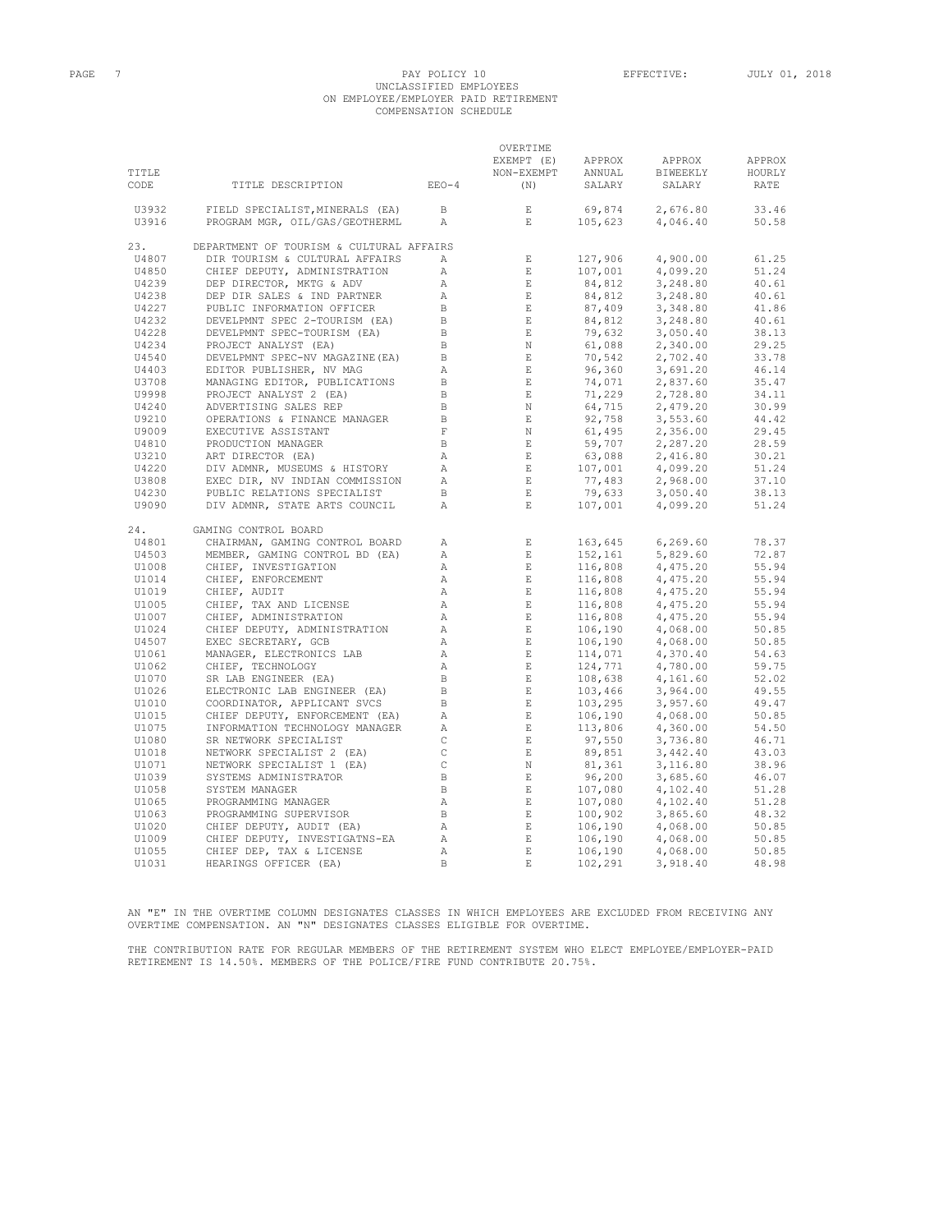#### PAGE 7 PAGE 7 PAY POLICY 10 EFFECTIVE: JULY 01, 2018 UNCLASSIFIED EMPLOYEES ON EMPLOYEE/EMPLOYER PAID RETIREMENT COMPENSATION SCHEDULE

|                |                                                              |                              | OVERTIME                               |                                                                                                                                                                                                                      | APPROX               | APPROX         |
|----------------|--------------------------------------------------------------|------------------------------|----------------------------------------|----------------------------------------------------------------------------------------------------------------------------------------------------------------------------------------------------------------------|----------------------|----------------|
| TITLE          |                                                              |                              | EXEMPT (E) APPROX<br>NON-EXEMPT ANNUAL |                                                                                                                                                                                                                      | BIWEEKLY             | HOURLY         |
| CODE           | TITLE DESCRIPTION                                            | $EEO-4$                      | (N)                                    | SALARY                                                                                                                                                                                                               | SALARY               | RATE           |
| U3932          | FIELD SPECIALIST, MINERALS (EA)                              | $\Box$                       | E                                      | 69,874                                                                                                                                                                                                               | 2,676.80             | 33.46          |
| U3916          | PROGRAM MGR, OIL/GAS/GEOTHERML                               | $\mathbb{A}$                 | E                                      | 105,623                                                                                                                                                                                                              | 4,046.40             | 50.58          |
| 23.            | DEPARTMENT OF TOURISM & CULTURAL AFFAIRS                     |                              |                                        |                                                                                                                                                                                                                      |                      |                |
| U4807          | DIR TOURISM & CULTURAL AFFAIRS                               | $\mathbb{A}$                 | $\mathbf{E}$                           | 127,906                                                                                                                                                                                                              | 4,900.00             | 61.25          |
| U4850          | CHIEF DEPUTY, ADMINISTRATION                                 | Α                            | $\mathbf{E}$                           | 107,001                                                                                                                                                                                                              | 4,099.20             | 51.24          |
| U4239          | DEP DIRECTOR, MKTG & ADV                                     | $\mathbb{A}$                 | $\mathbb E$ .                          |                                                                                                                                                                                                                      | 3,248.80             | 40.61          |
| U4238          | DEP DIR SALES & IND PARTNER                                  | $\mathbb{A}$                 | $E$ and $E$                            |                                                                                                                                                                                                                      | 3,248.80             | 40.61          |
| U4227          | PUBLIC INFORMATION OFFICER                                   | $\mathbf{B}$<br>$\mathbf B$  | $\mathbb E$ .<br>$\mathbb E$ .         |                                                                                                                                                                                                                      | 3,348.80             | 41.86          |
| U4232<br>U4228 | DEVELPMNT SPEC 2-TOURISM (EA)<br>DEVELPMNT SPEC-TOURISM (EA) | $\mathbf B$                  | $\mathbf{E}$                           |                                                                                                                                                                                                                      | 3,248.80<br>3,050.40 | 40.61<br>38.13 |
| U4234          | PROJECT ANALYST (EA)                                         | $\Box$                       | N                                      |                                                                                                                                                                                                                      | 2,340.00             | 29.25          |
| U4540          | DEVELPMNT SPEC-NV MAGAZINE (EA)                              | $\overline{B}$               | E                                      |                                                                                                                                                                                                                      | 2,702.40             | 33.78          |
| U4403          | EDITOR PUBLISHER, NV MAG                                     | $\overline{A}$               | $\sim$ E $_{\odot}$                    |                                                                                                                                                                                                                      | 3,691.20             | 46.14          |
| U3708          | MANAGING EDITOR, PUBLICATIONS                                | $\mathbf B$                  | $\parallel$ E                          |                                                                                                                                                                                                                      | 2,837.60             | 35.47          |
| U9998          | PROJECT ANALYST 2 (EA)                                       | $\,$ B                       | $\mathbf{E}$                           |                                                                                                                                                                                                                      | 2,728.80             | 34.11          |
| U4240          | ADVERTISING SALES REP                                        | $\, {\bf B}$                 | $_{\rm N}$                             |                                                                                                                                                                                                                      | 2,479.20             | 30.99          |
| U9210          | OPERATIONS & FINANCE MANAGER                                 | $\, {\bf B}$                 | $\quad$ E                              |                                                                                                                                                                                                                      | 3,553.60             | 44.42          |
| U9009          | EXECUTIVE ASSISTANT                                          | $\mathbf F$                  | $\mathbb N$                            |                                                                                                                                                                                                                      | 2,356.00             | 29.45          |
| U4810          | PRODUCTION MANAGER                                           | $\mathbf{B}$                 | $\mathbb E$ .                          |                                                                                                                                                                                                                      | 2,287.20             | 28.59          |
| U3210          | ART DIRECTOR (EA)                                            | $\mathbb{A}$                 | E                                      |                                                                                                                                                                                                                      | 2,416.80             | 30.21          |
| U4220          | DIV ADMNR, MUSEUMS & HISTORY                                 | $\overline{A}$               |                                        |                                                                                                                                                                                                                      | 4,099.20             | 51.24          |
| U3808          | EXEC DIR, NV INDIAN COMMISSION                               | $\mathbb{A}$                 | $$\mathbf{E}$$ $$\mathbf{E}$$          |                                                                                                                                                                                                                      | 2,968.00             | 37.10          |
| U4230          | PUBLIC RELATIONS SPECIALIST                                  | $\mathbf{B}$                 | E                                      |                                                                                                                                                                                                                      | 3,050.40             | 38.13          |
| U9090          | DIV ADMNR, STATE ARTS COUNCIL                                | $\mathbb{A}$                 | E                                      | $\begin{array}{l} 107,001\\ 84,812\\ 84,812\\ 87,409\\ 74,912\\ 79,632\\ 61,088\\ 70,542\\ 96,542\\ 74,071\\ 71,229\\ 64,715\\ 92,758\\ 61,495\\ 9,707\\ 63,088\\ 107,001\\ 77,483\\ 79,601\\ 77,6001\\ \end{array}$ | 4,099.20             | 51.24          |
| 24.            | GAMING CONTROL BOARD                                         |                              |                                        |                                                                                                                                                                                                                      |                      |                |
| U4801          | CHAIRMAN, GAMING CONTROL BOARD                               | $\mathbb{A}$                 | $\mathbb E$                            | 163,645                                                                                                                                                                                                              | 6, 269.60            | 78.37          |
| U4503          | MEMBER, GAMING CONTROL BD (EA)                               | Α                            | $\,$ E                                 | 152,161<br>$\begin{array}{l} 152,161\\ 116,808\\ 116,808\\ 116,808\\ 116,808\\ 116,808\\ 116,808\\ 106,190\\ 106,190\\ 114,071\\ 124,771\\ 108,638\\ 103,466\\ 103,29\\ 106,190 \end{array}$                         | 5,829.60             | 72.87          |
| U1008          | CHIEF, INVESTIGATION<br>CHIEF, ENFORCEMENT                   | $\mathbb{A}$                 | $-$ E $\,$                             |                                                                                                                                                                                                                      | 4,475.20             | 55.94<br>55.94 |
| U1014<br>U1019 |                                                              | $\mathbb{A}$<br>$\mathbb{A}$ | E<br>$\mathbb E$ .                     |                                                                                                                                                                                                                      | 4,475.20<br>4,475.20 | 55.94          |
| U1005          | CHIEF, AUDIT<br>CHIEF, TAX AND LICENSE                       | Α                            | $\mathbf{E}$                           |                                                                                                                                                                                                                      | 4,475.20             | 55.94          |
| U1007          | CHIEF, ADMINISTRATION                                        | $\mathbb{A}$                 | E                                      |                                                                                                                                                                                                                      | 4,475.20             | 55.94          |
| U1024          | CHIEF DEPUTY, ADMINISTRATION                                 | $\mathbb{A}$                 | $\mathbf{E}$                           |                                                                                                                                                                                                                      | 4,068.00             | 50.85          |
| U4507          | EXEC SECRETARY, GCB                                          | Α                            | $\quad$ E $\quad$                      |                                                                                                                                                                                                                      | 4,068.00             | 50.85          |
| U1061          | MANAGER, ELECTRONICS LAB                                     | Α                            | $\,$ E                                 |                                                                                                                                                                                                                      | 4,370.40             | 54.63          |
| U1062          | CHIEF, TECHNOLOGY                                            | Α                            | $\,$ E                                 |                                                                                                                                                                                                                      | 4,780.00             | 59.75          |
| U1070          | SR LAB ENGINEER (EA)                                         | $\,$ B                       | $\,$ E                                 |                                                                                                                                                                                                                      | 4,161.60             | 52.02          |
| U1026          | ELECTRONIC LAB ENGINEER (EA)                                 | $\,$ B                       | $\quad$ E                              |                                                                                                                                                                                                                      | 3,964.00             | 49.55          |
| U1010          | COORDINATOR, APPLICANT SVCS                                  | $\mathbf{B}$                 | $-$ E $\,$                             |                                                                                                                                                                                                                      | 3,957.60             | 49.47          |
| U1015          | CHIEF DEPUTY, ENFORCEMENT (EA)                               | Α                            | $\,$ E                                 | 106,190<br>113,806<br>97,550                                                                                                                                                                                         | 4,068.00             | 50.85          |
| U1075          | INFORMATION TECHNOLOGY MANAGER                               | $\mathbb{A}$                 | $\,$ E                                 |                                                                                                                                                                                                                      | 4,360.00             | 54.50          |
| U1080          | SR NETWORK SPECIALIST                                        | $\mathsf C$                  | E                                      |                                                                                                                                                                                                                      | 3,736.80             | 46.71          |
| U1018          | NETWORK SPECIALIST 2 (EA)                                    | $\mathtt{C}$                 | $\quad$ E $\quad$                      | 89,851                                                                                                                                                                                                               | 3,442.40             | 43.03          |
| U1071          | NETWORK SPECIALIST 1 (EA)                                    | $\,$ C                       | $\;$ N                                 |                                                                                                                                                                                                                      | 3,116.80             | 38.96          |
| U1039          | SYSTEMS ADMINISTRATOR                                        | $\,$ B                       | $\quad$ E $\quad$                      |                                                                                                                                                                                                                      | 3,685.60             | 46.07          |
| U1058          | SYSTEM MANAGER                                               | $\mathbf{B}$                 | E                                      | $-1, 361$<br>96, 200<br>107, 080<br>07, 080<br>90, 90                                                                                                                                                                | 4,102.40             | 51.28          |
| U1065          | PROGRAMMING MANAGER                                          | A                            | $\sim$ E $_{\odot}$                    | $107,080$<br>100,902<br>106,190<br>106,190                                                                                                                                                                           | 4,102.40             | 51.28          |
| U1063          | PROGRAMMING SUPERVISOR                                       | $\mathbf{B}$                 | $\mathbf{E}$                           |                                                                                                                                                                                                                      | 3,865.60             | 48.32          |
| U1020          | CHIEF DEPUTY, AUDIT (EA)<br>CHIEF DEPUTY, INVESTIGATNS-EA    | A                            | $\mathbb E$ .                          |                                                                                                                                                                                                                      | 4,068.00             | 50.85          |
| U1009          |                                                              | $\mathbb{A}$                 | E                                      |                                                                                                                                                                                                                      | 4,068.00             | 50.85          |
| U1055          | CHIEF DEP, TAX & LICENSE                                     | Α<br>B.                      | $\mathbf E$<br>$\mathbf E$             | 106,190                                                                                                                                                                                                              | 4,068.00<br>3,918.40 | 50.85<br>48.98 |
| U1031          | HEARINGS OFFICER (EA)                                        |                              |                                        | 102,291                                                                                                                                                                                                              |                      |                |

AN "E" IN THE OVERTIME COLUMN DESIGNATES CLASSES IN WHICH EMPLOYEES ARE EXCLUDED FROM RECEIVING ANY OVERTIME COMPENSATION. AN "N" DESIGNATES CLASSES ELIGIBLE FOR OVERTIME.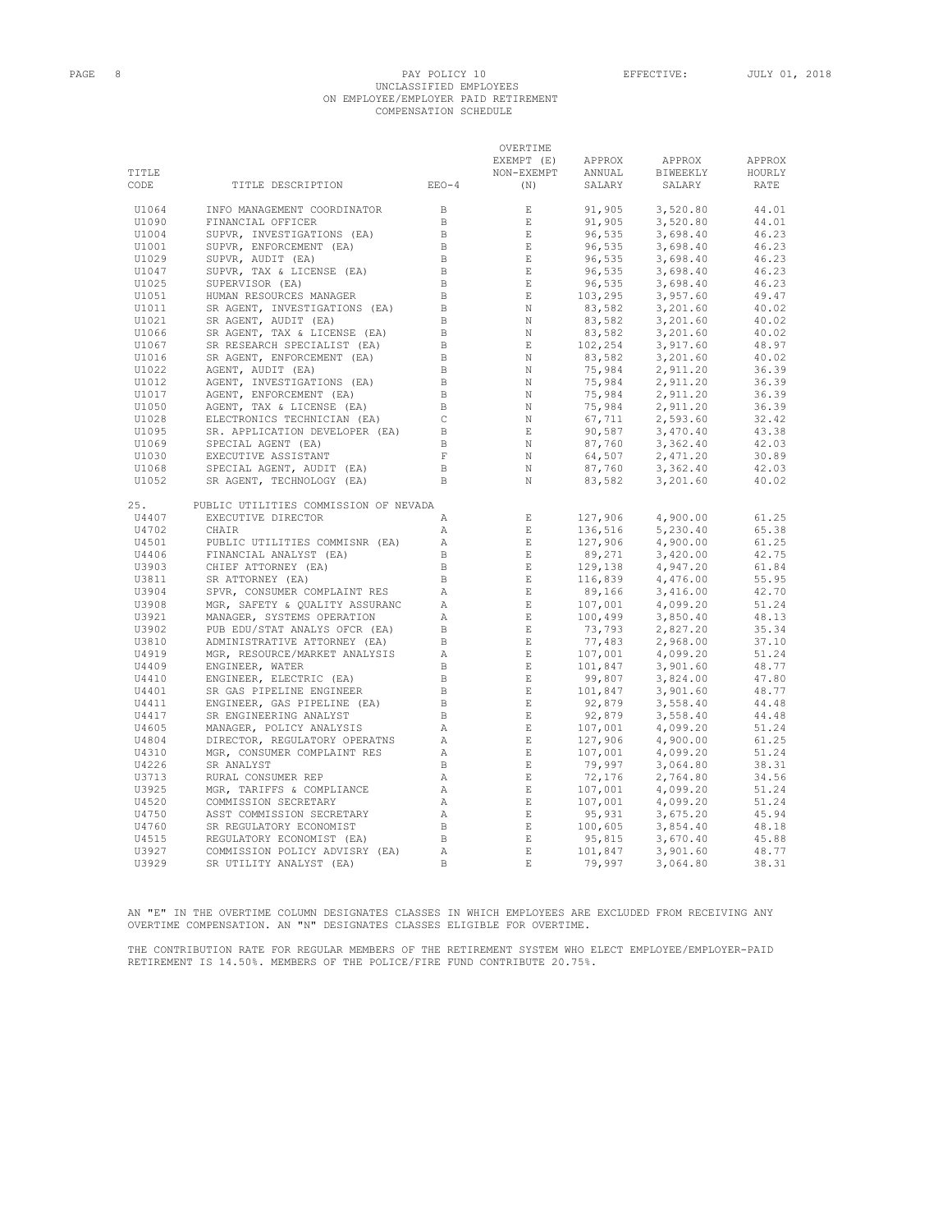# PAGE 8 PAY POLICY 10 EFFECTIVE: JULY 01, 2018 UNCLASSIFIED EMPLOYEES ON EMPLOYEE/EMPLOYER PAID RETIREMENT COMPENSATION SCHEDULE

|       |                                       |               | OVERTIME<br>EXEMPT (E) | APPROX                                  | APPROX   | APPROX |
|-------|---------------------------------------|---------------|------------------------|-----------------------------------------|----------|--------|
| TITLE |                                       |               | NON-EXEMPT             | ANNUAL                                  | BIWEEKLY | HOURLY |
| CODE  | TITLE DESCRIPTION                     | $EEO-4$       | (N)                    | SALARY                                  | SALARY   | RATE   |
| U1064 | INFO MANAGEMENT COORDINATOR           | $\Box$        | E                      | 91,905                                  | 3,520.80 | 44.01  |
| U1090 | FINANCIAL OFFICER                     | B             | E                      | 91,905                                  | 3,520.80 | 44.01  |
| U1004 | SUPVR, INVESTIGATIONS (EA)            | B             | $\mathbf E$            | 96,535                                  | 3,698.40 | 46.23  |
| U1001 | SUPVR, ENFORCEMENT (EA)               | $\mathbb B$   | E                      | 96,535                                  | 3,698.40 | 46.23  |
| U1029 | SUPVR, AUDIT (EA)                     | B             | E                      | 96,535                                  | 3,698.40 | 46.23  |
| U1047 | SUPVR, TAX & LICENSE (EA)             | B             | E                      | 96,535                                  | 3,698.40 | 46.23  |
| U1025 | SUPERVISOR (EA)                       | $\, {\bf B}$  | $\mathbf{E}$           |                                         | 3,698.40 | 46.23  |
| U1051 | HUMAN RESOURCES MANAGER               | $\mathbf{B}$  | $\mathbf{E}$           |                                         | 3,957.60 | 49.47  |
| U1011 | SR AGENT, INVESTIGATIONS (EA)         | $\mathbf B$   | N                      | 96,535<br>103,295<br>83,582<br>83,582   | 3,201.60 | 40.02  |
| U1021 | SR AGENT, AUDIT (EA)                  | $\mathbb B$   | $\mathbb N$            |                                         | 3,201.60 | 40.02  |
| U1066 | SR AGENT, TAX & LICENSE (EA)          | $\,$ B        | N                      |                                         | 3,201.60 | 40.02  |
| U1067 | SR RESEARCH SPECIALIST (EA)           | B             | $\mathbf E$            |                                         | 3,917.60 | 48.97  |
| U1016 | SR AGENT, ENFORCEMENT (EA)            | $\,$ B        | N                      | $83,582$<br>102,254<br>83,582<br>75,984 | 3,201.60 | 40.02  |
| U1022 | AGENT, AUDIT (EA)                     | $\, {\bf B}$  | $\mathbb N$            |                                         | 2,911.20 | 36.39  |
| U1012 | AGENT, INVESTIGATIONS (EA)            | $\Box$        | N                      |                                         | 2,911.20 | 36.39  |
| U1017 | AGENT, ENFORCEMENT (EA)               | $\mathbf B$   | N                      | 75,984<br>75,984<br>75,984              | 2,911.20 | 36.39  |
| U1050 | AGENT, TAX & LICENSE (EA)             | $\, {\bf B}$  | N                      |                                         | 2,911.20 | 36.39  |
| U1028 | ELECTRONICS TECHNICIAN (EA)           | $\mathsf C$   | N                      | 67,711                                  | 2,593.60 | 32.42  |
| U1095 | SR. APPLICATION DEVELOPER (EA)        | B             | $\mathbf{E}$           | $90,587$<br>$87,760$<br>$64,507$        | 3,470.40 | 43.38  |
| U1069 | SPECIAL AGENT (EA)                    | B             | N                      |                                         | 3,362.40 | 42.03  |
| U1030 | EXECUTIVE ASSISTANT                   | $\mathbf F$   | N                      |                                         | 2,471.20 | 30.89  |
| U1068 | SPECIAL AGENT, AUDIT (EA)             | B             | N                      | 87,760                                  | 3,362.40 | 42.03  |
| U1052 | SR AGENT, TECHNOLOGY (EA)             | <sub>B</sub>  | N                      | 83,582                                  | 3,201.60 | 40.02  |
| 25.   | PUBLIC UTILITIES COMMISSION OF NEVADA |               |                        |                                         |          |        |
| U4407 | EXECUTIVE DIRECTOR                    | A             | E                      | 127,906                                 | 4,900.00 | 61.25  |
| U4702 | CHAIR                                 | $\mathcal{A}$ | E                      |                                         | 5,230.40 | 65.38  |
| U4501 | PUBLIC UTILITIES COMMISNR (EA)        | $\mathbb{A}$  | E                      | 136,516<br>127,906<br>89,271            | 4,900.00 | 61.25  |
| U4406 | FINANCIAL ANALYST (EA)                | B             | E                      |                                         | 3,420.00 | 42.75  |
| U3903 | CHIEF ATTORNEY (EA)                   | $\, {\bf B}$  | $\mathbf E$            |                                         | 4,947.20 | 61.84  |
| U3811 | SR ATTORNEY (EA)                      | $\mathbf B$   | E                      | 129,138<br>116,839                      | 4,476.00 | 55.95  |
| U3904 | SPVR, CONSUMER COMPLAINT RES          | Α             | E                      | 89,166                                  | 3,416.00 | 42.70  |
| U3908 | MGR, SAFETY & QUALITY ASSURANC        | Α             | $\mathop{}\mathcal{E}$ | 107,001                                 | 4,099.20 | 51.24  |
| U3921 | MANAGER, SYSTEMS OPERATION            | Α             | E                      | 100,499<br>73,793                       | 3,850.40 | 48.13  |
| U3902 | PUB EDU/STAT ANALYS OFCR (EA)         | $\, {\bf B}$  | $\mathbf E$            |                                         | 2,827.20 | 35.34  |
| U3810 | ADMINISTRATIVE ATTORNEY (EA)          | $\, {\bf B}$  | $\mathbf E$            | 77,483                                  | 2,968.00 | 37.10  |
| U4919 | MGR, RESOURCE/MARKET ANALYSIS         | Α             | $\mathbf E$            | 107,001                                 | 4,099.20 | 51.24  |
| U4409 | ENGINEER, WATER                       | B             | $\mathbf{E}$           | $101,847$<br>99,807                     | 3,901.60 | 48.77  |
| U4410 | ENGINEER, ELECTRIC (EA)               | $\, {\bf B}$  | $\mathbf{E}$           |                                         | 3,824.00 | 47.80  |
| U4401 | SR GAS PIPELINE ENGINEER              | $\, {\bf B}$  | $\mathbf{E}$           | 101,847                                 | 3,901.60 | 48.77  |
| U4411 | ENGINEER, GAS PIPELINE (EA)           | $\,$ B        | $\mathbf{E}$           | 92,879                                  | 3,558.40 | 44.48  |
| U4417 | SR ENGINEERING ANALYST                | B             | $\mathbf{E}$           | 92,879                                  | 3,558.40 | 44.48  |
| U4605 | MANAGER, POLICY ANALYSIS              | Α             | $\mathbf{E}$           | 107,001                                 | 4,099.20 | 51.24  |
| U4804 | DIRECTOR, REGULATORY OPERATNS         | A             | $\mathbf{E}$           | 127,906                                 | 4,900.00 | 61.25  |
| U4310 | MGR, CONSUMER COMPLAINT RES           | $\mathbb A$   | $\mathbf E$            | 107,001                                 | 4,099.20 | 51.24  |
| U4226 | SR ANALYST                            | B             | E                      | 79,997                                  | 3,064.80 | 38.31  |
| U3713 | RURAL CONSUMER REP                    | $\mathbb{A}$  | E                      | 72,176                                  | 2,764.80 | 34.56  |
| U3925 | MGR, TARIFFS & COMPLIANCE             | $\mathbb{A}$  | E                      | 107,001                                 | 4,099.20 | 51.24  |
| U4520 | COMMISSION SECRETARY                  | А             | $\mathbf E$            | 107,001<br>$107,001$<br>95,931          | 4,099.20 | 51.24  |
| U4750 | ASST COMMISSION SECRETARY             | Α             | $\mathbf E$            |                                         | 3,675.20 | 45.94  |
| U4760 | SR REGULATORY ECONOMIST               | $\, {\bf B}$  | E                      | 100,605                                 | 3,854.40 | 48.18  |
| U4515 | REGULATORY ECONOMIST (EA)             | $\mathbb B$   | $\mathbf{E}$           | 95,815                                  | 3,670.40 | 45.88  |
| U3927 | COMMISSION POLICY ADVISRY (EA)        | Α             | $\mathbf E$            | 101,847                                 | 3,901.60 | 48.77  |
| U3929 | SR UTILITY ANALYST (EA)               | <sub>B</sub>  | $\mathbf E$            | 79,997                                  | 3,064.80 | 38.31  |

AN "E" IN THE OVERTIME COLUMN DESIGNATES CLASSES IN WHICH EMPLOYEES ARE EXCLUDED FROM RECEIVING ANY OVERTIME COMPENSATION. AN "N" DESIGNATES CLASSES ELIGIBLE FOR OVERTIME.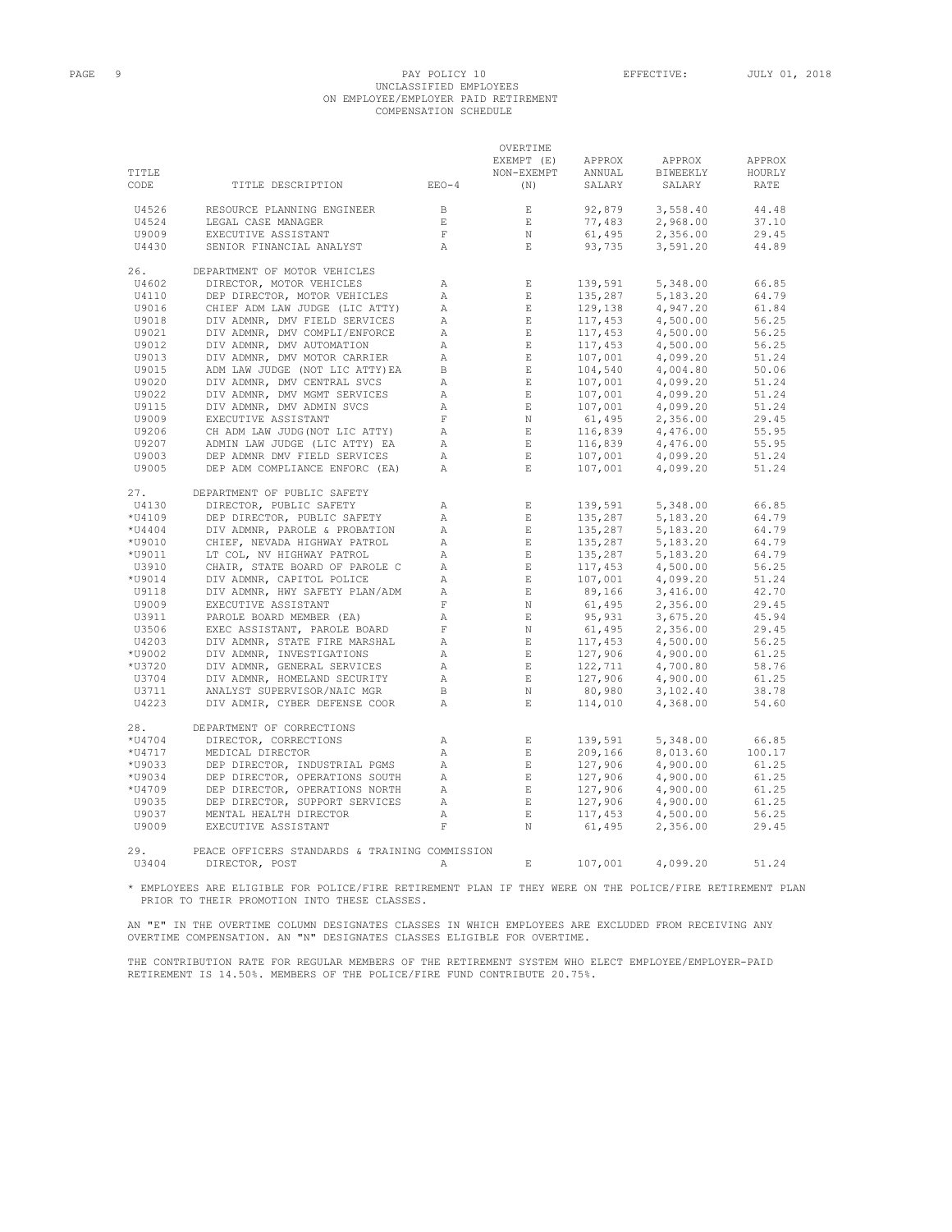#### PAGE 9 PAY POLICY 10 EFFECTIVE: JULY 01, 2018 UNCLASSIFIED EMPLOYEES ON EMPLOYEE/EMPLOYER PAID RETIREMENT COMPENSATION SCHEDULE

| TITLE<br>CODE    | TITLE DESCRIPTION                                               | $EEO-4$                 | OVERTIME<br>EXEMPT (E)<br>NON-EXEMPT<br>(N) | APPROX<br>ANNUAL<br>SALARY | APPROX<br>BIWEEKLY<br>SALARY | APPROX<br>HOURLY<br>RATE |
|------------------|-----------------------------------------------------------------|-------------------------|---------------------------------------------|----------------------------|------------------------------|--------------------------|
| U4526            | RESOURCE PLANNING ENGINEER                                      | $\Box$                  | $\quad$ E                                   | 92,879                     | 3,558.40                     | 44.48                    |
| U4524            | LEGAL CASE MANAGER                                              | E                       | $\,$ E                                      | 77,483                     | 2,968.00                     | 37.10                    |
| U9009            | EXECUTIVE ASSISTANT                                             | $\mathbf F$             | $\mathbb N$                                 | 61,495                     | 2,356.00                     | 29.45                    |
| U4430            | SENIOR FINANCIAL ANALYST                                        | Α                       | $\mathbf{E}% _{0}$                          | 93,735                     | 3,591.20                     | 44.89                    |
| 26.              | DEPARTMENT OF MOTOR VEHICLES                                    |                         |                                             |                            |                              |                          |
| U4602            | DIRECTOR, MOTOR VEHICLES                                        | Α                       | $\,$ E                                      | 139,591                    | 5,348.00                     | 66.85                    |
| U4110            | DEP DIRECTOR, MOTOR VEHICLES                                    | Α                       | $\mathbf E$                                 | 135,287                    | 5,183.20                     | 64.79                    |
| U9016            | CHIEF ADM LAW JUDGE (LIC ATTY)                                  | $\mathbb{A}$            | $\_$ E                                      | 129,138                    | 4,947.20                     | 61.84                    |
| U9018            | DIV ADMNR, DMV FIELD SERVICES                                   | $\mathbb{A}$            | $\quad$ E                                   | 117,453                    | 4,500.00                     | 56.25                    |
| U9021            | DIV ADMNR, DMV COMPLI/ENFORCE                                   | Α                       | E                                           | 117,453                    | 4,500.00                     | 56.25                    |
| U9012            | DIV ADMNR, DMV AUTOMATION                                       | Α<br>$\mathbb{A}$       | $\_$ $\_$ $\_$<br>E                         | 117,453<br>107,001         | 4,500.00                     | 56.25                    |
| U9013<br>U9015   | DIV ADMNR, DMV MOTOR CARRIER<br>ADM LAW JUDGE (NOT LIC ATTY) EA | $\mathbb{R}$            | E                                           | 104,540                    | 4,099.20                     | 51.24<br>50.06           |
| U9020            | DIV ADMNR, DMV CENTRAL SVCS                                     | $\mathbb{A}$            | $E_{\rm c}$                                 | 107,001                    | 4,004.80<br>4,099.20         | 51.24                    |
| U9022            | DIV ADMNR, DMV MGMT SERVICES                                    | $\mathbb{A}$            | E                                           | 107,001                    | 4,099.20                     | 51.24                    |
| U9115            | DIV ADMNR, DMV ADMIN SVCS                                       | $\mathbb{A}$            | E                                           | 107,001                    | 4,099.20                     | 51.24                    |
| U9009            | EXECUTIVE ASSISTANT                                             | F                       | N                                           | 61,495                     | 2,356.00                     | 29.45                    |
| U9206            | CH ADM LAW JUDG (NOT LIC ATTY)                                  | $\mathbb{A}$            | $E_{\rm c}$                                 | 116,839                    | 4,476.00                     | 55.95                    |
| U9207            | ADMIN LAW JUDGE (LIC ATTY) EA                                   | $\mathbb{A}$            | $E_{\rm{B}}$                                | 116,839                    | 4,476.00                     | 55.95                    |
| U9003            | DEP ADMNR DMV FIELD SERVICES                                    | $\lambda$               | $E_{\rm{L}}$                                | 107,001                    | 4,099.20                     | 51.24                    |
| U9005            | DEP ADM COMPLIANCE ENFORC (EA)                                  | A                       | $E_{\rm c}$                                 | 107,001                    | 4,099.20                     | 51.24                    |
| 27.              | DEPARTMENT OF PUBLIC SAFETY                                     |                         |                                             |                            |                              |                          |
| U4130            | DIRECTOR, PUBLIC SAFETY                                         | Α                       | $\mathbf E$                                 | 139,591                    | 5,348.00                     | 66.85                    |
| *U4109           | DEP DIRECTOR, PUBLIC SAFETY                                     | $\mathbb{A}$            | E                                           | 135,287                    | 5,183.20                     | 64.79                    |
| $*04404$         | DIV ADMNR, PAROLE & PROBATION                                   | $\mathbb{A}$            | $\,$ E                                      | 135,287                    | 5,183.20                     | 64.79                    |
| *U9010           | CHIEF, NEVADA HIGHWAY PATROL                                    | $\mathbb{A}$            | E                                           | 135,287                    | 5,183.20                     | 64.79                    |
| *U9011           | LT COL, NV HIGHWAY PATROL                                       | $\mathbb{A}$            | E                                           | 135,287                    | 5,183.20                     | 64.79                    |
| U3910            | CHAIR, STATE BOARD OF PAROLE C                                  | $\mathbb{A}$            | E                                           | 117,453                    | 4,500.00                     | 56.25                    |
| *U9014           | DIV ADMNR, CAPITOL POLICE                                       | $\mathbb{A}$            | E                                           | 107,001                    | 4,099.20                     | 51.24                    |
| U9118            | DIV ADMNR, HWY SAFETY PLAN/ADM                                  | $\mathbb{A}$            | E                                           | 89,166                     | 3,416.00                     | 42.70                    |
| U9009            | EXECUTIVE ASSISTANT                                             | $\overline{\mathrm{F}}$ | $\mathbb N$                                 | 61,495                     | 2,356.00                     | 29.45                    |
| U3911            | PAROLE BOARD MEMBER (EA)                                        | Α                       | E                                           | 95,931                     | 3,675.20                     | 45.94                    |
| U3506            | EXEC ASSISTANT, PAROLE BOARD                                    | $\mathbf F$             | N                                           | 61,495                     | 2,356.00                     | 29.45                    |
| U4203            | DIV ADMNR, STATE FIRE MARSHAL                                   | Α<br>$\mathbb{A}$       | E<br>E                                      | 117,453<br>127,906         | 4,500.00                     | 56.25                    |
| *U9002<br>*U3720 | DIV ADMNR, INVESTIGATIONS<br>DIV ADMNR, GENERAL SERVICES        | $\mathbb A$             | E                                           | 122,711                    | 4,900.00<br>4,700.80         | 61.25<br>58.76           |
| U3704            | DIV ADMNR, HOMELAND SECURITY                                    | $\mathbb{A}$            | E                                           | 127,906                    | 4,900.00                     | 61.25                    |
| U3711            | ANALYST SUPERVISOR/NAIC MGR                                     | B                       | N                                           | 80,980                     | 3,102.40                     | 38.78                    |
| U4223            | DIV ADMIR, CYBER DEFENSE COOR                                   | A                       | $\mathbf E$                                 | 114,010                    | 4,368.00                     | 54.60                    |
| 28.              | DEPARTMENT OF CORRECTIONS                                       |                         |                                             |                            |                              |                          |
| *U4704           | DIRECTOR, CORRECTIONS                                           | Α                       | $\mathbf E$                                 | 139,591                    | 5,348.00                     | 66.85                    |
| *U4717           | MEDICAL DIRECTOR                                                | $\mathbb{A}$            | $\,$ E                                      | 209,166                    | 8,013.60                     | 100.17                   |
| *U9033           | DEP DIRECTOR, INDUSTRIAL PGMS                                   | Α                       | $\mathbf E$                                 | 127,906                    | 4,900.00                     | 61.25                    |
| *U9034           | DEP DIRECTOR, OPERATIONS SOUTH                                  | Α                       | E                                           | 127,906                    | 4,900.00                     | 61.25                    |
| *U4709           | DEP DIRECTOR, OPERATIONS NORTH                                  | Α                       | $\,$ E                                      | 127,906                    | 4,900.00                     | 61.25                    |
| U9035            | DEP DIRECTOR, SUPPORT SERVICES                                  | Α                       | $\mathbf E$                                 | 127,906                    | 4,900.00                     | 61.25                    |
| U9037            | MENTAL HEALTH DIRECTOR                                          | Α                       | $\,$ E                                      | 117,453                    | 4,500.00                     | 56.25                    |
| U9009            | EXECUTIVE ASSISTANT                                             | $\mathbf F$             | N                                           | 61,495                     | 2,356.00                     | 29.45                    |
| 29.              | PEACE OFFICERS STANDARDS & TRAINING COMMISSION                  |                         |                                             |                            |                              |                          |
| U3404            | DIRECTOR, POST                                                  | Α                       | $\mathbf{E}$                                | 107,001                    | 4,099.20                     | 51.24                    |

\* EMPLOYEES ARE ELIGIBLE FOR POLICE/FIRE RETIREMENT PLAN IF THEY WERE ON THE POLICE/FIRE RETIREMENT PLAN PRIOR TO THEIR PROMOTION INTO THESE CLASSES.

AN "E" IN THE OVERTIME COLUMN DESIGNATES CLASSES IN WHICH EMPLOYEES ARE EXCLUDED FROM RECEIVING ANY<br>OVERTIME COMPENSATION. AN "N" DESIGNATES CLASSES ELIGIBLE FOR OVERTIME.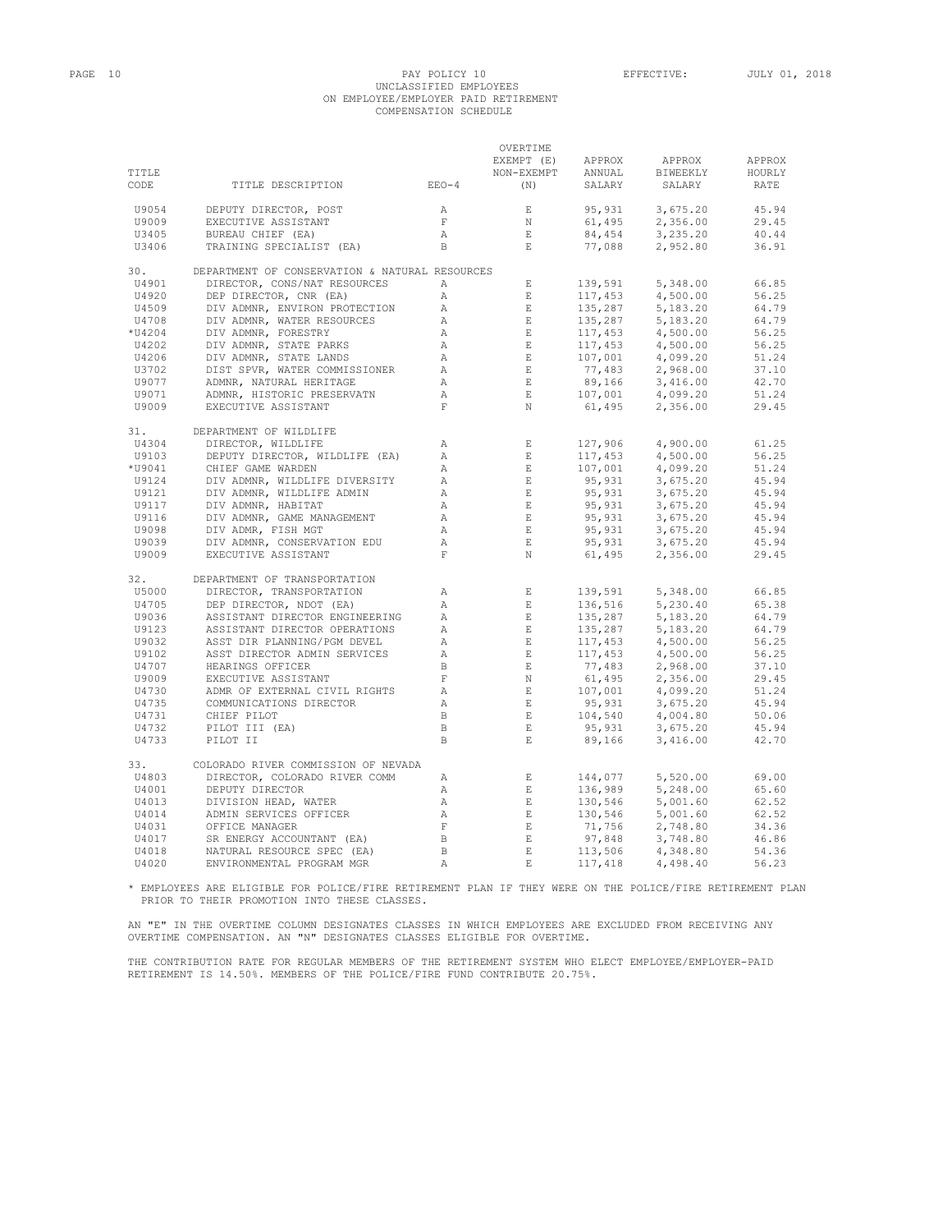# PAGE 10 PAY POLICY 10 EFFECTIVE: JULY 01, 2018 UNCLASSIFIED EMPLOYEES ON EMPLOYEE/EMPLOYER PAID RETIREMENT COMPENSATION SCHEDULE

| TITLE<br>CODE  | TITLE DESCRIPTION                                             | $EEO-4$                      | OVERTIME<br>EXEMPT (E)<br>NON-EXEMPT<br>(N) | APPROX<br>ANNUAL<br>SALARY                                               | APPROX<br>BIWEEKLY<br>SALARY | APPROX<br>HOURLY<br>RATE |
|----------------|---------------------------------------------------------------|------------------------------|---------------------------------------------|--------------------------------------------------------------------------|------------------------------|--------------------------|
| U9054          | DEPUTY DIRECTOR, POST                                         | A                            | $\quad$ E                                   | 95,931                                                                   | 3,675.20                     | 45.94                    |
| U9009          | EXECUTIVE ASSISTANT                                           | $\,$ F $\,$                  | N                                           | 61,495                                                                   | 2,356.00                     | 29.45                    |
| U3405          | BUREAU CHIEF (EA)                                             | $\mathbb{A}$                 | $\mathbf{E}$                                | 84,454                                                                   | 3,235.20                     | 40.44                    |
| U3406          | TRAINING SPECIALIST (EA)                                      | $\,$ B                       | $\mathbf{E}$                                | 77,088                                                                   | 2,952.80                     | 36.91                    |
| 30.            | DEPARTMENT OF CONSERVATION & NATURAL RESOURCES                |                              |                                             |                                                                          |                              |                          |
| U4901          | DIRECTOR, CONS/NAT RESOURCES                                  | Α                            | $\mathbf{E}$                                | 139,591                                                                  | 5,348.00                     | 66.85                    |
| U4920          | DEP DIRECTOR, CNR (EA)                                        | $\mathbb{A}$                 | $\mathbf{E}$                                | 117,453                                                                  | 4,500.00                     | 56.25                    |
| U4509          | DIV ADMNR, ENVIRON PROTECTION                                 | $\mathbb{A}$                 | $\mathbf{E}$                                | 135,287                                                                  | 5,183.20                     | 64.79                    |
| U4708          | DIV ADMNR, WATER RESOURCES                                    | $\mathbb{A}$                 | $\mathbf{E}$                                | 135,287                                                                  | 5,183.20                     | 64.79                    |
| *U4204         | DIV ADMNR, FORESTRY                                           | $\mathbb{A}$                 | $\mathbf{E}$                                | $137,453$<br>$117,453$<br>$107,001$<br>$77,483$<br>$89,166$<br>$107,001$ | 4,500.00                     | 56.25                    |
| U4202          | DIV ADMNR, STATE PARKS                                        | $\mathbb{A}$                 | $\mathbf E$                                 |                                                                          | 4,500.00                     | 56.25                    |
| U4206          | DIV ADMNR, STATE LANDS                                        | А                            | $\mathbf E$                                 |                                                                          | 4,099.20                     | 51.24                    |
| U3702          | DIST SPVR, WATER COMMISSIONER                                 | A                            | E                                           |                                                                          | 2,968.00                     | 37.10                    |
| U9077          | ADMNR, NATURAL HERITAGE                                       | $\mathbb A$                  | E                                           |                                                                          | 3,416.00                     | 42.70                    |
| U9071          | ADMNR, HISTORIC PRESERVATN                                    | $\mathbb{A}$                 | $\mathbf{E}$                                |                                                                          | 4,099.20                     | 51.24                    |
| U9009          | EXECUTIVE ASSISTANT                                           | $\mathbf F$                  | N                                           | 61,495                                                                   | 2,356.00                     | 29.45                    |
| 31.            | DEPARTMENT OF WILDLIFE                                        |                              |                                             |                                                                          |                              |                          |
| U4304          | DIRECTOR, WILDLIFE                                            | Α                            | E                                           | 127,906                                                                  | 4,900.00                     | 61.25                    |
| U9103          | DEPUTY DIRECTOR, WILDLIFE (EA)                                | $\mathbb{A}$                 | E                                           | 117,453                                                                  | 4,500.00                     | 56.25                    |
| *U9041         | CHIEF GAME WARDEN                                             | $\mathbb{A}$                 | $\mathbf E$                                 | 107,001                                                                  | 4,099.20                     | 51.24                    |
| U9124          | DIV ADMNR, WILDLIFE DIVERSITY                                 | $\mathbb{A}$                 | $\mathbf E$                                 | 95,931                                                                   | 3,675.20                     | 45.94                    |
| U9121          | DIV ADMNR, WILDLIFE ADMIN                                     | Α                            | $\quad$ E                                   | 95,931                                                                   | 3,675.20                     | 45.94                    |
| U9117          | DIV ADMNR, HABITAT                                            | Α                            | $\,$ E                                      | 95,931                                                                   | 3,675.20                     | 45.94                    |
| U9116<br>U9098 | DIV ADMNR, GAME MANAGEMENT<br>DIV ADMR, FISH MGT              | $\mathbb{A}$<br>$\mathbb{A}$ | E<br>$\mathbf E$                            | 95,931<br>95,931                                                         | 3,675.20<br>3,675.20         | 45.94<br>45.94           |
| U9039          | DIV ADMNR, CONSERVATION EDU                                   | $\mathbb{A}$                 | E                                           | 95,931                                                                   | 3,675.20                     | 45.94                    |
| U9009          | EXECUTIVE ASSISTANT                                           | $\mathbf F$                  | N                                           | 61,495                                                                   | 2,356.00                     | 29.45                    |
| 32.            | DEPARTMENT OF TRANSPORTATION                                  |                              |                                             |                                                                          |                              |                          |
| U5000          | DIRECTOR, TRANSPORTATION                                      | Α                            | E                                           | 139,591                                                                  | 5,348.00                     | 66.85                    |
| U4705          | DEP DIRECTOR, NDOT (EA)                                       | Α                            | $\,$ E                                      | 136,516                                                                  | 5,230.40                     | 65.38                    |
| U9036          | ASSISTANT DIRECTOR ENGINEERING                                | Α                            | $\mathbf E$                                 | 135,287                                                                  | 5,183.20                     | 64.79                    |
| U9123          | ASSISTANT DIRECTOR OPERATIONS                                 | Α                            | $\mathbf E$                                 | 135,287                                                                  | 5,183.20                     | 64.79                    |
| U9032          | ASST DIR PLANNING/PGM DEVEL                                   | Α                            | E                                           | 117,453                                                                  | 4,500.00                     | 56.25                    |
| U9102          | ASST DIRECTOR ADMIN SERVICES                                  | Α                            | $\mathbf E$                                 | 117,453                                                                  | 4,500.00                     | 56.25                    |
| U4707          | HEARINGS OFFICER                                              | $\,$ B                       | $\mathbf E$                                 |                                                                          | 2,968.00                     | 37.10                    |
| U9009          | EXECUTIVE ASSISTANT                                           | $\mathbf F$                  | $\mathbb N$                                 | 77,483<br>61,495                                                         | 2,356.00                     | 29.45                    |
| U4730          | ADMR OF EXTERNAL CIVIL RIGHTS                                 | Α                            | $\mathop{}\mathcal{E}$                      | 107,001                                                                  | 4,099.20                     | 51.24                    |
| U4735          | COMMUNICATIONS DIRECTOR                                       | Α                            | $\,$ E                                      | 95,931                                                                   | 3,675.20                     | 45.94                    |
| U4731          | CHIEF PILOT                                                   | $\, {\bf B}$                 | $\mathbf E$                                 | 104,540                                                                  | 4,004.80                     | 50.06                    |
| U4732          | PILOT III (EA)                                                | $\, {\bf B}$                 | $\mathbf{E}$                                | 95,931                                                                   | 3,675.20                     | 45.94                    |
| U4733          | PILOT II                                                      | $\,$ B                       | $\mathbf E$                                 | 89,166                                                                   | 3,416.00                     | 42.70                    |
| 33.            | COLORADO RIVER COMMISSION OF NEVADA                           |                              |                                             |                                                                          |                              |                          |
| U4803          | DIRECTOR, COLORADO RIVER COMM                                 | Α                            | E                                           | 144,077                                                                  | 5,520.00                     | 69.00                    |
| U4001          | DEPUTY DIRECTOR                                               | $\mathbb{A}$                 | $\,$ E                                      | 136,989                                                                  | 5,248.00                     | 65.60                    |
| U4013          | DIVISION HEAD, WATER                                          | Α                            | E                                           | 130,546                                                                  | 5,001.60                     | 62.52                    |
| U4014          | ADMIN SERVICES OFFICER                                        | $\mathbb{A}$                 | $\mathbf E$                                 | 130,546                                                                  | 5,001.60                     | 62.52                    |
| U4031          | OFFICE MANAGER<br>OFFICE MANAGER<br>SR ENERGY ACCOUNTANT (EA) | $\;$ F                       | E                                           | 71,756                                                                   | 2,748.80                     | 34.36                    |
| U4017          |                                                               | $\, {\bf B}$                 | $\mathop{}\mathcal{E}$                      | 97,848                                                                   | 3,748.80                     | 46.86                    |
| U4018          | NATURAL RESOURCE SPEC (EA)                                    | $\,$ B                       | $\mathbf E$                                 | 113,506                                                                  | 4,348.80                     | 54.36                    |
| U4020          | ENVIRONMENTAL PROGRAM MGR                                     | $\overline{A}$               | $\mathbf{F}_i$                              | 117,418                                                                  | 4,498.40                     | 56.23                    |

\* EMPLOYEES ARE ELIGIBLE FOR POLICE/FIRE RETIREMENT PLAN IF THEY WERE ON THE POLICE/FIRE RETIREMENT PLAN PRIOR TO THEIR PROMOTION INTO THESE CLASSES.

AN "E" IN THE OVERTIME COLUMN DESIGNATES CLASSES IN WHICH EMPLOYEES ARE EXCLUDED FROM RECEIVING ANY<br>OVERTIME COMPENSATION. AN "N" DESIGNATES CLASSES ELIGIBLE FOR OVERTIME.